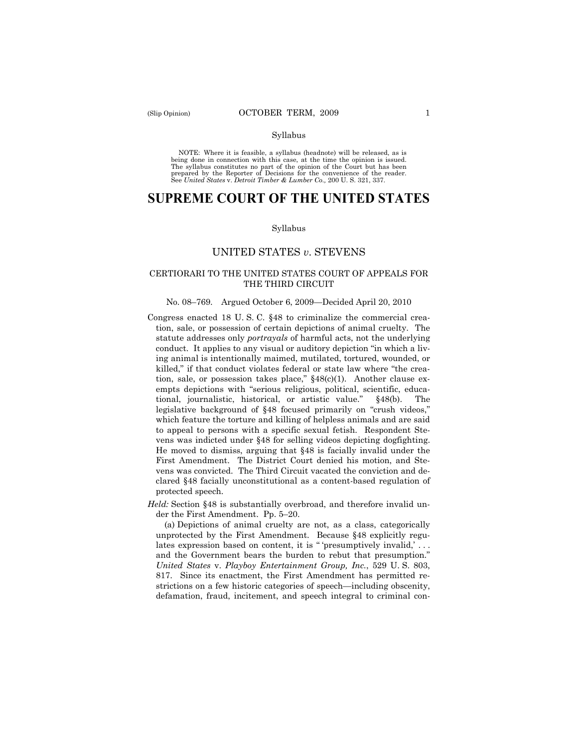NOTE: Where it is feasible, a syllabus (headnote) will be released, as is being done in connection with this case, at the time the opinion is issued. The syllabus constitutes no part of the opinion of the Court but has been<br>prepared by the Reporter of Decisions for the convenience of the reader.<br>See United States v. Detroit Timber & Lumber Co., 200 U. S. 321, 337.

# **SUPREME COURT OF THE UNITED STATES**

#### Syllabus

## UNITED STATES *v*. STEVENS

## CERTIORARI TO THE UNITED STATES COURT OF APPEALS FOR THE THIRD CIRCUIT

#### No. 08–769. Argued October 6, 2009—Decided April 20, 2010

- Congress enacted 18 U. S. C. §48 to criminalize the commercial creation, sale, or possession of certain depictions of animal cruelty. The statute addresses only *portrayals* of harmful acts, not the underlying conduct. It applies to any visual or auditory depiction "in which a living animal is intentionally maimed, mutilated, tortured, wounded, or killed," if that conduct violates federal or state law where "the creation, sale, or possession takes place," §48(c)(1). Another clause exempts depictions with "serious religious, political, scientific, educational, journalistic, historical, or artistic value." §48(b). The legislative background of §48 focused primarily on "crush videos," which feature the torture and killing of helpless animals and are said to appeal to persons with a specific sexual fetish. Respondent Stevens was indicted under §48 for selling videos depicting dogfighting. He moved to dismiss, arguing that §48 is facially invalid under the First Amendment. The District Court denied his motion, and Stevens was convicted. The Third Circuit vacated the conviction and declared §48 facially unconstitutional as a content-based regulation of protected speech.
- *Held:* Section §48 is substantially overbroad, and therefore invalid under the First Amendment. Pp. 5–20.

(a) Depictions of animal cruelty are not, as a class, categorically unprotected by the First Amendment. Because §48 explicitly regulates expression based on content, it is "'presumptively invalid,'... and the Government bears the burden to rebut that presumption." *United States* v. *Playboy Entertainment Group, Inc.*, 529 U. S. 803, 817. Since its enactment, the First Amendment has permitted restrictions on a few historic categories of speech—including obscenity, defamation, fraud, incitement, and speech integral to criminal con-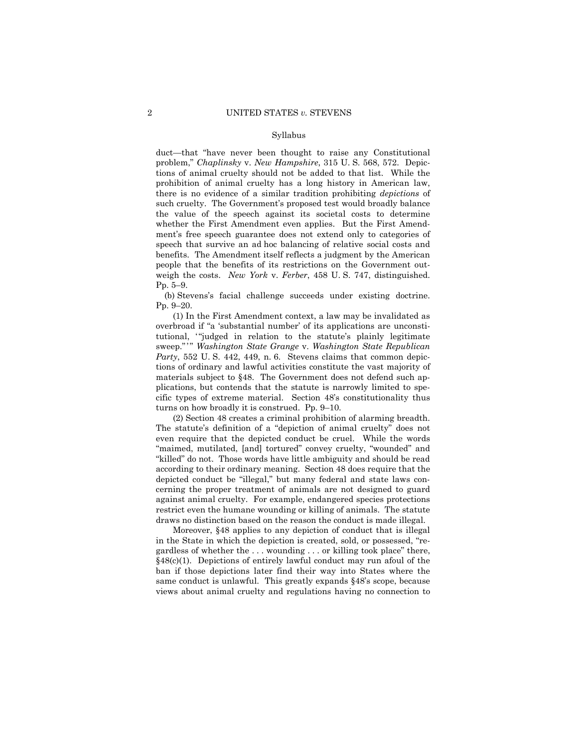duct—that "have never been thought to raise any Constitutional problem," *Chaplinsky* v. *New Hampshire*, 315 U. S. 568, 572. Depictions of animal cruelty should not be added to that list. While the prohibition of animal cruelty has a long history in American law, there is no evidence of a similar tradition prohibiting *depictions* of such cruelty. The Government's proposed test would broadly balance the value of the speech against its societal costs to determine whether the First Amendment even applies. But the First Amendment's free speech guarantee does not extend only to categories of speech that survive an ad hoc balancing of relative social costs and benefits. The Amendment itself reflects a judgment by the American people that the benefits of its restrictions on the Government outweigh the costs. *New York* v. *Ferber*, 458 U. S. 747, distinguished. Pp. 5–9.

(b) Stevens's facial challenge succeeds under existing doctrine. Pp. 9–20.

(1) In the First Amendment context, a law may be invalidated as overbroad if "a 'substantial number' of its applications are unconstitutional, "judged in relation to the statute's plainly legitimate sweep." ' " *Washington State Grange* v. *Washington State Republican Party*, 552 U. S. 442, 449, n. 6. Stevens claims that common depictions of ordinary and lawful activities constitute the vast majority of materials subject to §48. The Government does not defend such applications, but contends that the statute is narrowly limited to specific types of extreme material. Section 48's constitutionality thus turns on how broadly it is construed. Pp. 9–10.

(2) Section 48 creates a criminal prohibition of alarming breadth. The statute's definition of a "depiction of animal cruelty" does not even require that the depicted conduct be cruel. While the words "maimed, mutilated, [and] tortured" convey cruelty, "wounded" and "killed" do not. Those words have little ambiguity and should be read according to their ordinary meaning. Section 48 does require that the depicted conduct be "illegal," but many federal and state laws concerning the proper treatment of animals are not designed to guard against animal cruelty. For example, endangered species protections restrict even the humane wounding or killing of animals. The statute draws no distinction based on the reason the conduct is made illegal.

Moreover, §48 applies to any depiction of conduct that is illegal in the State in which the depiction is created, sold, or possessed, "regardless of whether the . . . wounding . . . or killing took place" there, §48(c)(1). Depictions of entirely lawful conduct may run afoul of the ban if those depictions later find their way into States where the same conduct is unlawful. This greatly expands §48's scope, because views about animal cruelty and regulations having no connection to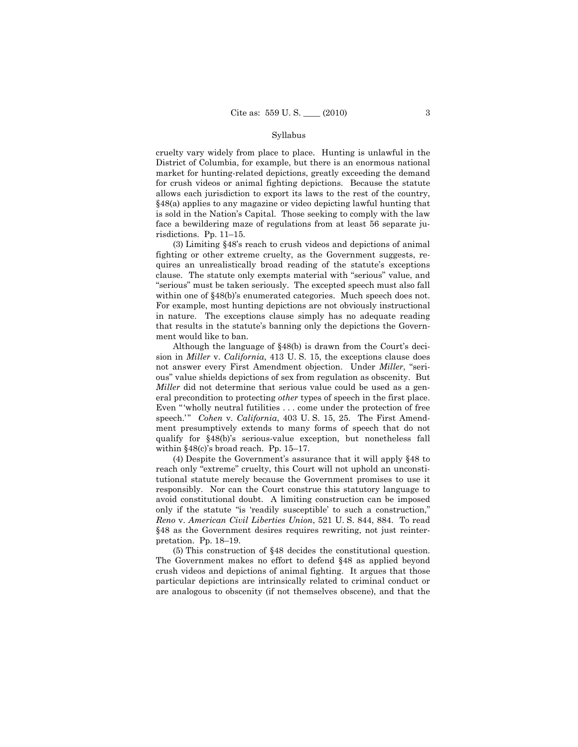cruelty vary widely from place to place. Hunting is unlawful in the District of Columbia, for example, but there is an enormous national market for hunting-related depictions, greatly exceeding the demand for crush videos or animal fighting depictions. Because the statute allows each jurisdiction to export its laws to the rest of the country, §48(a) applies to any magazine or video depicting lawful hunting that is sold in the Nation's Capital. Those seeking to comply with the law face a bewildering maze of regulations from at least 56 separate jurisdictions. Pp. 11–15.

(3) Limiting §48's reach to crush videos and depictions of animal fighting or other extreme cruelty, as the Government suggests, requires an unrealistically broad reading of the statute's exceptions clause. The statute only exempts material with "serious" value, and "serious" must be taken seriously. The excepted speech must also fall within one of §48(b)'s enumerated categories. Much speech does not. For example, most hunting depictions are not obviously instructional in nature. The exceptions clause simply has no adequate reading that results in the statute's banning only the depictions the Government would like to ban.

Although the language of §48(b) is drawn from the Court's decision in *Miller* v. *California*, 413 U. S. 15, the exceptions clause does not answer every First Amendment objection. Under *Miller*, "serious" value shields depictions of sex from regulation as obscenity. But *Miller* did not determine that serious value could be used as a general precondition to protecting *other* types of speech in the first place. Even "wholly neutral futilities . . . come under the protection of free speech.'" *Cohen* v. *California*, 403 U.S. 15, 25. The First Amendment presumptively extends to many forms of speech that do not qualify for §48(b)'s serious-value exception, but nonetheless fall within §48(c)'s broad reach. Pp. 15–17.

(4) Despite the Government's assurance that it will apply §48 to reach only "extreme" cruelty, this Court will not uphold an unconstitutional statute merely because the Government promises to use it responsibly. Nor can the Court construe this statutory language to avoid constitutional doubt. A limiting construction can be imposed only if the statute "is 'readily susceptible' to such a construction," *Reno* v. *American Civil Liberties Union*, 521 U. S. 844, 884. To read §48 as the Government desires requires rewriting, not just reinterpretation. Pp. 18–19.

(5) This construction of §48 decides the constitutional question. The Government makes no effort to defend §48 as applied beyond crush videos and depictions of animal fighting. It argues that those particular depictions are intrinsically related to criminal conduct or are analogous to obscenity (if not themselves obscene), and that the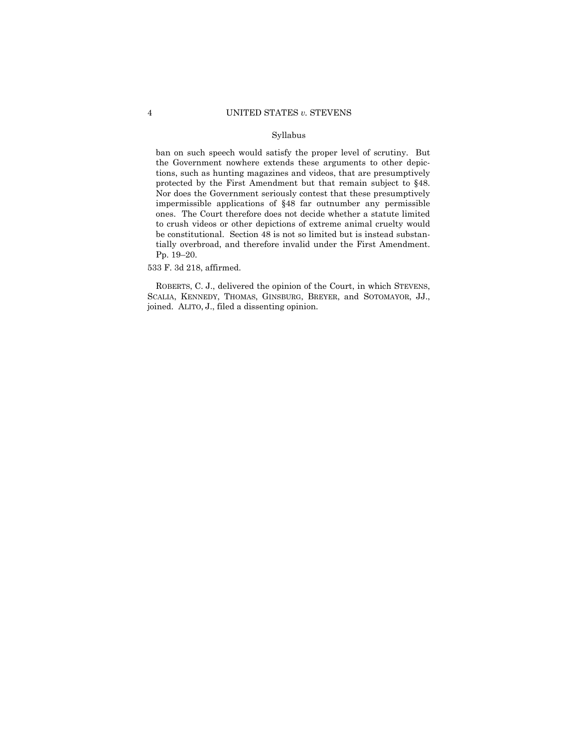ban on such speech would satisfy the proper level of scrutiny. But the Government nowhere extends these arguments to other depictions, such as hunting magazines and videos, that are presumptively protected by the First Amendment but that remain subject to §48. Nor does the Government seriously contest that these presumptively impermissible applications of §48 far outnumber any permissible ones. The Court therefore does not decide whether a statute limited to crush videos or other depictions of extreme animal cruelty would be constitutional. Section 48 is not so limited but is instead substantially overbroad, and therefore invalid under the First Amendment. Pp. 19–20.

533 F. 3d 218, affirmed.

ROBERTS, C. J., delivered the opinion of the Court, in which STEVENS, SCALIA, KENNEDY, THOMAS, GINSBURG, BREYER, and SOTOMAYOR, JJ., joined. ALITO, J., filed a dissenting opinion.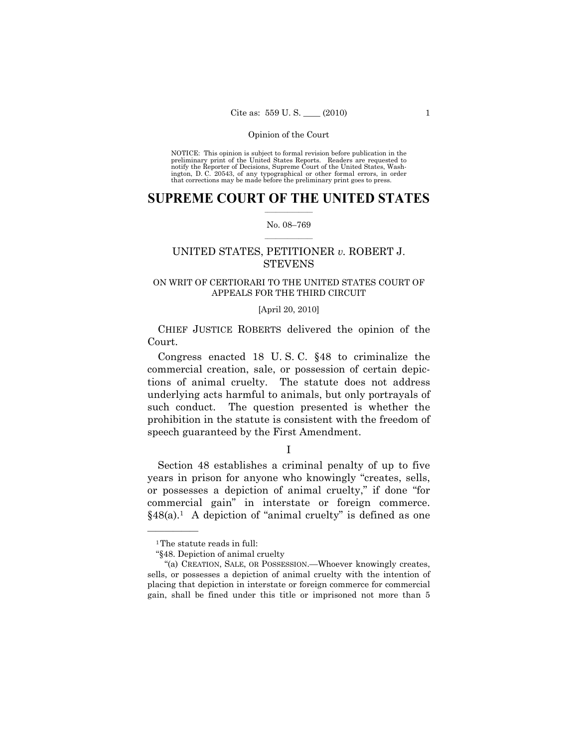NOTICE: This opinion is subject to formal revision before publication in the preliminary print of the United States Reports. Readers are requested to notify the Reporter of Decisions, Supreme Court of the United States, Washington, D. C. 20543, of any typographical or other formal errors, in order that corrections may be made before the preliminary print goes to press.

## $\frac{1}{2}$  ,  $\frac{1}{2}$  ,  $\frac{1}{2}$  ,  $\frac{1}{2}$  ,  $\frac{1}{2}$  ,  $\frac{1}{2}$  ,  $\frac{1}{2}$ **SUPREME COURT OF THE UNITED STATES**

### $\frac{1}{2}$  ,  $\frac{1}{2}$  ,  $\frac{1}{2}$  ,  $\frac{1}{2}$  ,  $\frac{1}{2}$  ,  $\frac{1}{2}$ No. 08–769

## UNITED STATES, PETITIONER *v.* ROBERT J. **STEVENS**

## ON WRIT OF CERTIORARI TO THE UNITED STATES COURT OF APPEALS FOR THE THIRD CIRCUIT

### [April 20, 2010]

CHIEF JUSTICE ROBERTS delivered the opinion of the Court.

Congress enacted 18 U. S. C. §48 to criminalize the commercial creation, sale, or possession of certain depictions of animal cruelty. The statute does not address underlying acts harmful to animals, but only portrayals of such conduct. The question presented is whether the prohibition in the statute is consistent with the freedom of speech guaranteed by the First Amendment.

I

Section 48 establishes a criminal penalty of up to five years in prison for anyone who knowingly "creates, sells, or possesses a depiction of animal cruelty," if done "for commercial gain" in interstate or foreign commerce.  $§48(a).<sup>1</sup>$  A depiction of "animal cruelty" is defined as one

<sup>&</sup>lt;sup>1</sup>The statute reads in full:

<sup>&</sup>quot;§48. Depiction of animal cruelty

 <sup>&</sup>quot;(a) CREATION, SALE, OR POSSESSION.—Whoever knowingly creates, sells, or possesses a depiction of animal cruelty with the intention of placing that depiction in interstate or foreign commerce for commercial gain, shall be fined under this title or imprisoned not more than 5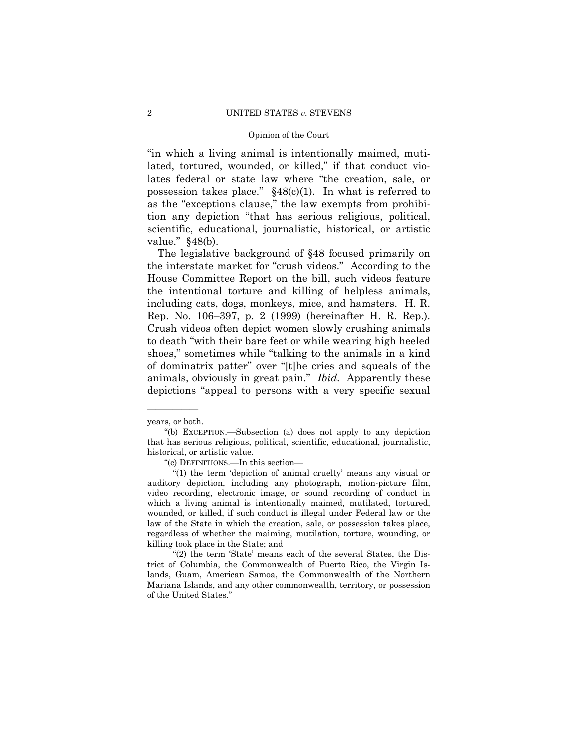"in which a living animal is intentionally maimed, mutilated, tortured, wounded, or killed," if that conduct violates federal or state law where "the creation, sale, or possession takes place."  $§48(c)(1)$ . In what is referred to as the "exceptions clause," the law exempts from prohibition any depiction "that has serious religious, political, scientific, educational, journalistic, historical, or artistic value." §48(b).

The legislative background of §48 focused primarily on the interstate market for "crush videos." According to the House Committee Report on the bill, such videos feature the intentional torture and killing of helpless animals, including cats, dogs, monkeys, mice, and hamsters. H. R. Rep. No. 106–397, p. 2 (1999) (hereinafter H. R. Rep.). Crush videos often depict women slowly crushing animals to death "with their bare feet or while wearing high heeled shoes," sometimes while "talking to the animals in a kind of dominatrix patter" over "[t]he cries and squeals of the animals, obviously in great pain." *Ibid.* Apparently these depictions "appeal to persons with a very specific sexual

<sup>—————</sup>  years, or both.

 <sup>&</sup>quot;(b) EXCEPTION.—Subsection (a) does not apply to any depiction that has serious religious, political, scientific, educational, journalistic, historical, or artistic value.

 <sup>&</sup>quot;(c) DEFINITIONS.—In this section—

 <sup>&</sup>quot;(1) the term 'depiction of animal cruelty' means any visual or auditory depiction, including any photograph, motion-picture film, video recording, electronic image, or sound recording of conduct in which a living animal is intentionally maimed, mutilated, tortured, wounded, or killed, if such conduct is illegal under Federal law or the law of the State in which the creation, sale, or possession takes place, regardless of whether the maiming, mutilation, torture, wounding, or killing took place in the State; and

<sup>&</sup>quot;(2) the term 'State' means each of the several States, the District of Columbia, the Commonwealth of Puerto Rico, the Virgin Islands, Guam, American Samoa, the Commonwealth of the Northern Mariana Islands, and any other commonwealth, territory, or possession of the United States."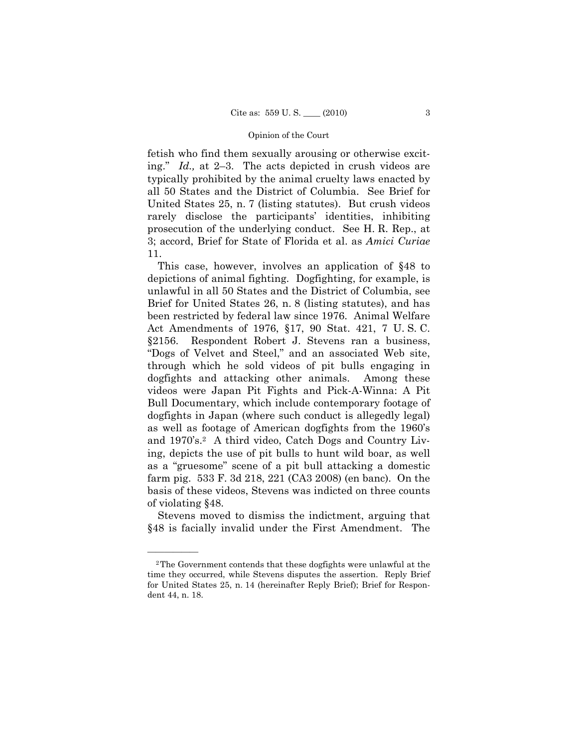fetish who find them sexually arousing or otherwise exciting." *Id.,* at 2–3. The acts depicted in crush videos are typically prohibited by the animal cruelty laws enacted by all 50 States and the District of Columbia. See Brief for United States 25, n. 7 (listing statutes). But crush videos rarely disclose the participants' identities, inhibiting prosecution of the underlying conduct. See H. R. Rep., at 3; accord, Brief for State of Florida et al. as *Amici Curiae*  11.

This case, however, involves an application of §48 to depictions of animal fighting. Dogfighting, for example, is unlawful in all 50 States and the District of Columbia, see Brief for United States 26, n. 8 (listing statutes), and has been restricted by federal law since 1976. Animal Welfare Act Amendments of 1976, §17, 90 Stat. 421, 7 U. S. C. §2156. Respondent Robert J. Stevens ran a business, "Dogs of Velvet and Steel," and an associated Web site, through which he sold videos of pit bulls engaging in dogfights and attacking other animals. Among these videos were Japan Pit Fights and Pick-A-Winna: A Pit Bull Documentary, which include contemporary footage of dogfights in Japan (where such conduct is allegedly legal) as well as footage of American dogfights from the 1960's and 1970's.<sup>2</sup> A third video, Catch Dogs and Country Living, depicts the use of pit bulls to hunt wild boar, as well as a "gruesome" scene of a pit bull attacking a domestic farm pig. 533 F. 3d 218, 221 (CA3 2008) (en banc). On the basis of these videos, Stevens was indicted on three counts of violating §48.

Stevens moved to dismiss the indictment, arguing that §48 is facially invalid under the First Amendment. The

<sup>2</sup>The Government contends that these dogfights were unlawful at the time they occurred, while Stevens disputes the assertion. Reply Brief for United States 25, n. 14 (hereinafter Reply Brief); Brief for Respondent 44, n. 18.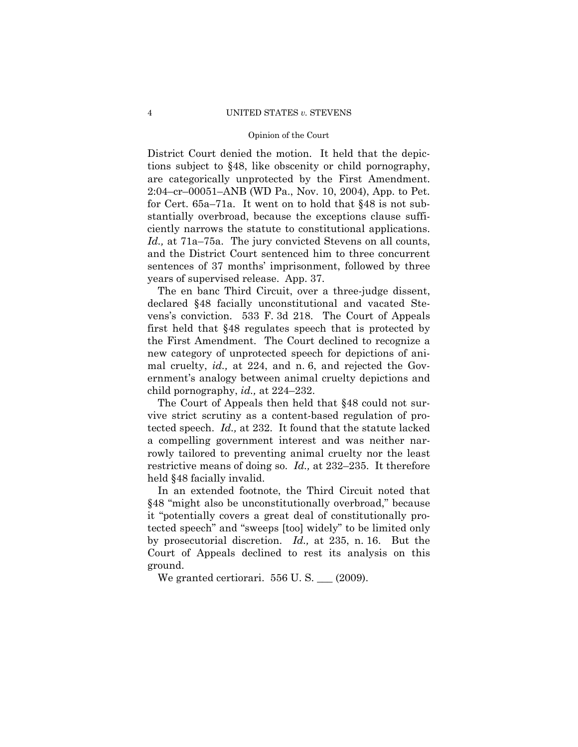District Court denied the motion. It held that the depictions subject to §48, like obscenity or child pornography, are categorically unprotected by the First Amendment. 2:04–cr–00051–ANB (WD Pa., Nov. 10, 2004), App. to Pet. for Cert. 65a–71a. It went on to hold that §48 is not substantially overbroad, because the exceptions clause sufficiently narrows the statute to constitutional applications. *Id.,* at 71a–75a. The jury convicted Stevens on all counts, and the District Court sentenced him to three concurrent sentences of 37 months' imprisonment, followed by three years of supervised release. App. 37.

The en banc Third Circuit, over a three-judge dissent, declared §48 facially unconstitutional and vacated Stevens's conviction. 533 F. 3d 218. The Court of Appeals first held that §48 regulates speech that is protected by the First Amendment. The Court declined to recognize a new category of unprotected speech for depictions of animal cruelty, *id.,* at 224, and n. 6, and rejected the Government's analogy between animal cruelty depictions and child pornography, *id.,* at 224–232.

The Court of Appeals then held that §48 could not survive strict scrutiny as a content-based regulation of protected speech. *Id.,* at 232. It found that the statute lacked a compelling government interest and was neither narrowly tailored to preventing animal cruelty nor the least restrictive means of doing so. *Id.,* at 232–235. It therefore held §48 facially invalid.

In an extended footnote, the Third Circuit noted that §48 "might also be unconstitutionally overbroad," because it "potentially covers a great deal of constitutionally protected speech" and "sweeps [too] widely" to be limited only by prosecutorial discretion. *Id.,* at 235, n. 16. But the Court of Appeals declined to rest its analysis on this ground.

We granted certiorari.  $556$  U.S.  $\_\_$  (2009).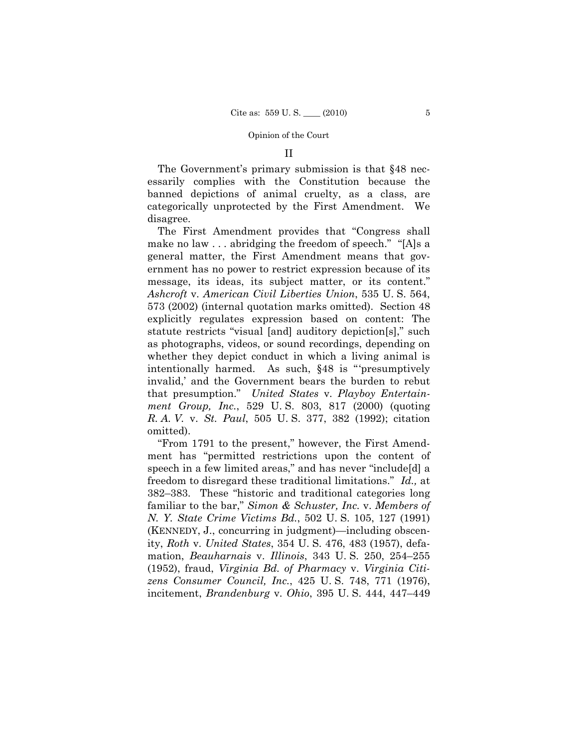### II

The Government's primary submission is that §48 necessarily complies with the Constitution because the banned depictions of animal cruelty, as a class, are categorically unprotected by the First Amendment. We disagree.

The First Amendment provides that "Congress shall make no law . . . abridging the freedom of speech." "[A]s a general matter, the First Amendment means that government has no power to restrict expression because of its message, its ideas, its subject matter, or its content." *Ashcroft* v. *American Civil Liberties Union*, 535 U. S. 564, 573 (2002) (internal quotation marks omitted). Section 48 explicitly regulates expression based on content: The statute restricts "visual [and] auditory depiction[s]," such as photographs, videos, or sound recordings, depending on whether they depict conduct in which a living animal is intentionally harmed. As such, §48 is "'presumptively invalid,' and the Government bears the burden to rebut that presumption." *United States* v. *Playboy Entertainment Group, Inc.*, 529 U. S. 803, 817 (2000) (quoting *R. A. V.* v. *St. Paul*, 505 U. S. 377, 382 (1992); citation omitted).

"From 1791 to the present," however, the First Amendment has "permitted restrictions upon the content of speech in a few limited areas," and has never "include[d] a freedom to disregard these traditional limitations." *Id.,* at 382–383. These "historic and traditional categories long familiar to the bar," *Simon & Schuster, Inc.* v. *Members of N. Y. State Crime Victims Bd.*, 502 U. S. 105, 127 (1991) (KENNEDY, J., concurring in judgment)—including obscenity, *Roth* v. *United States*, 354 U. S. 476, 483 (1957), defamation, *Beauharnais* v. *Illinois*, 343 U. S. 250, 254–255 (1952), fraud, *Virginia Bd. of Pharmacy* v. *Virginia Citizens Consumer Council, Inc.*, 425 U. S. 748, 771 (1976), incitement, *Brandenburg* v. *Ohio*, 395 U. S. 444, 447–449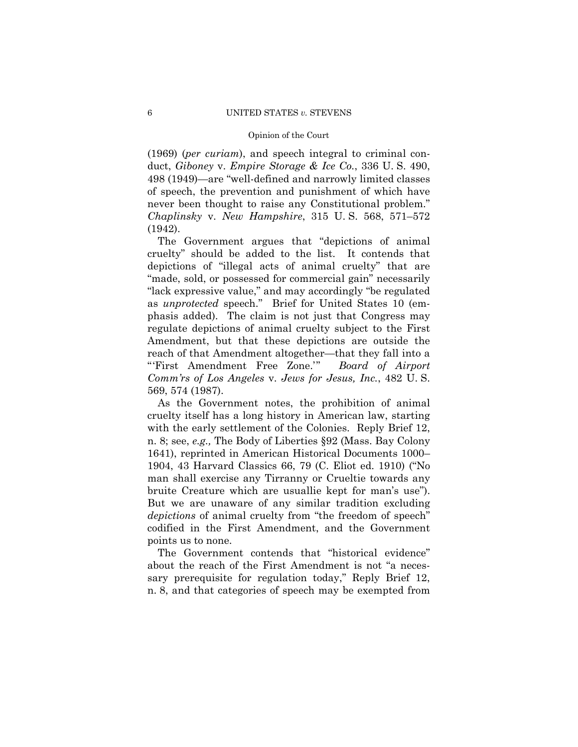(1969) (*per curiam*), and speech integral to criminal conduct, *Giboney* v. *Empire Storage & Ice Co.*, 336 U. S. 490, 498 (1949)—are "well-defined and narrowly limited classes of speech, the prevention and punishment of which have never been thought to raise any Constitutional problem." *Chaplinsky* v. *New Hampshire*, 315 U. S. 568, 571–572 (1942).

The Government argues that "depictions of animal cruelty" should be added to the list. It contends that depictions of "illegal acts of animal cruelty" that are "made, sold, or possessed for commercial gain" necessarily "lack expressive value," and may accordingly "be regulated as *unprotected* speech." Brief for United States 10 (emphasis added). The claim is not just that Congress may regulate depictions of animal cruelty subject to the First Amendment, but that these depictions are outside the reach of that Amendment altogether—that they fall into a "'First Amendment Free Zone.'" *Board of Airport Comm'rs of Los Angeles* v. *Jews for Jesus, Inc.*, 482 U. S. 569, 574 (1987).

As the Government notes, the prohibition of animal cruelty itself has a long history in American law, starting with the early settlement of the Colonies. Reply Brief 12, n. 8; see, *e.g.,* The Body of Liberties §92 (Mass. Bay Colony 1641), reprinted in American Historical Documents 1000– 1904, 43 Harvard Classics 66, 79 (C. Eliot ed. 1910) ("No man shall exercise any Tirranny or Crueltie towards any bruite Creature which are usuallie kept for man's use"). But we are unaware of any similar tradition excluding *depictions* of animal cruelty from "the freedom of speech" codified in the First Amendment, and the Government points us to none.

The Government contends that "historical evidence" about the reach of the First Amendment is not "a necessary prerequisite for regulation today," Reply Brief 12, n. 8, and that categories of speech may be exempted from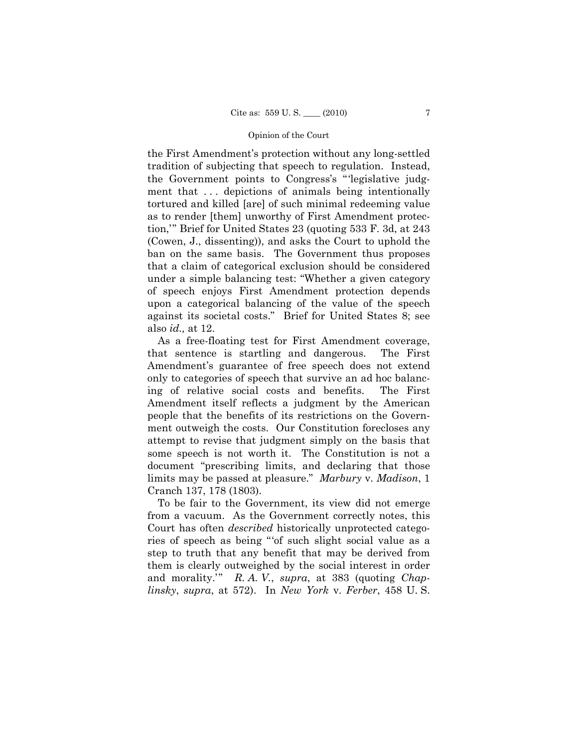the First Amendment's protection without any long-settled tradition of subjecting that speech to regulation. Instead, the Government points to Congress's "'legislative judgment that ... depictions of animals being intentionally tortured and killed [are] of such minimal redeeming value as to render [them] unworthy of First Amendment protection,'" Brief for United States 23 (quoting 533 F. 3d, at 243 (Cowen, J., dissenting)), and asks the Court to uphold the ban on the same basis. The Government thus proposes that a claim of categorical exclusion should be considered under a simple balancing test: "Whether a given category of speech enjoys First Amendment protection depends upon a categorical balancing of the value of the speech against its societal costs." Brief for United States 8; see also *id.,* at 12.

As a free-floating test for First Amendment coverage, that sentence is startling and dangerous. The First Amendment's guarantee of free speech does not extend only to categories of speech that survive an ad hoc balancing of relative social costs and benefits. The First Amendment itself reflects a judgment by the American people that the benefits of its restrictions on the Government outweigh the costs. Our Constitution forecloses any attempt to revise that judgment simply on the basis that some speech is not worth it. The Constitution is not a document "prescribing limits, and declaring that those limits may be passed at pleasure." *Marbury* v. *Madison*, 1 Cranch 137, 178 (1803).

To be fair to the Government, its view did not emerge from a vacuum. As the Government correctly notes, this Court has often *described* historically unprotected categories of speech as being "'of such slight social value as a step to truth that any benefit that may be derived from them is clearly outweighed by the social interest in order and morality.'" *R. A. V.*, *supra*, at 383 (quoting *Chaplinsky*, *supra*, at 572). In *New York* v. *Ferber*, 458 U. S.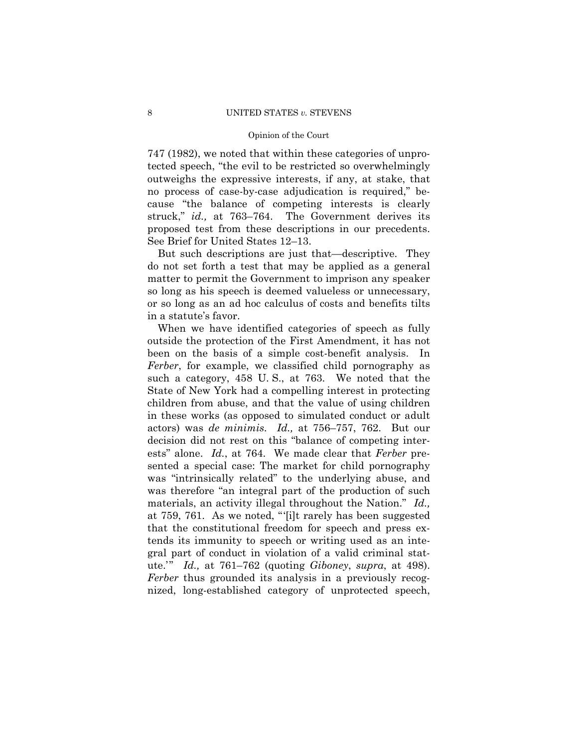747 (1982), we noted that within these categories of unprotected speech, "the evil to be restricted so overwhelmingly outweighs the expressive interests, if any, at stake, that no process of case-by-case adjudication is required," because "the balance of competing interests is clearly struck," *id.,* at 763–764. The Government derives its proposed test from these descriptions in our precedents. See Brief for United States 12–13.

But such descriptions are just that—descriptive. They do not set forth a test that may be applied as a general matter to permit the Government to imprison any speaker so long as his speech is deemed valueless or unnecessary, or so long as an ad hoc calculus of costs and benefits tilts in a statute's favor.

When we have identified categories of speech as fully outside the protection of the First Amendment, it has not been on the basis of a simple cost-benefit analysis. In *Ferber*, for example, we classified child pornography as such a category, 458 U. S., at 763. We noted that the State of New York had a compelling interest in protecting children from abuse, and that the value of using children in these works (as opposed to simulated conduct or adult actors) was *de minimis*. *Id.,* at 756–757, 762. But our decision did not rest on this "balance of competing interests" alone. *Id.*, at 764. We made clear that *Ferber* presented a special case: The market for child pornography was "intrinsically related" to the underlying abuse, and was therefore "an integral part of the production of such materials, an activity illegal throughout the Nation." *Id.,*  at 759, 761. As we noted, "'[i]t rarely has been suggested that the constitutional freedom for speech and press extends its immunity to speech or writing used as an integral part of conduct in violation of a valid criminal statute.'" *Id.,* at 761–762 (quoting *Giboney*, *supra*, at 498). *Ferber* thus grounded its analysis in a previously recognized, long-established category of unprotected speech,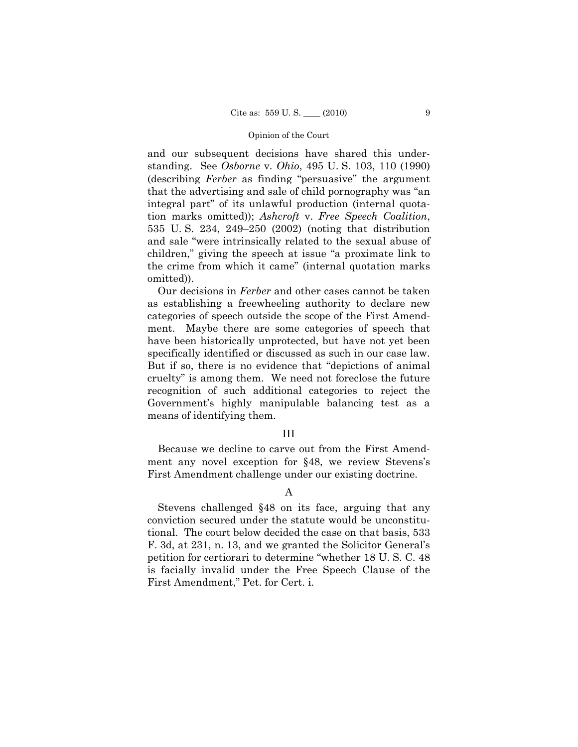and our subsequent decisions have shared this understanding. See *Osborne* v. *Ohio*, 495 U. S. 103, 110 (1990) (describing *Ferber* as finding "persuasive" the argument that the advertising and sale of child pornography was "an integral part" of its unlawful production (internal quotation marks omitted)); *Ashcroft* v. *Free Speech Coalition*, 535 U. S. 234, 249–250 (2002) (noting that distribution and sale "were intrinsically related to the sexual abuse of children," giving the speech at issue "a proximate link to the crime from which it came" (internal quotation marks omitted)).

Our decisions in *Ferber* and other cases cannot be taken as establishing a freewheeling authority to declare new categories of speech outside the scope of the First Amendment. Maybe there are some categories of speech that have been historically unprotected, but have not yet been specifically identified or discussed as such in our case law. But if so, there is no evidence that "depictions of animal cruelty" is among them. We need not foreclose the future recognition of such additional categories to reject the Government's highly manipulable balancing test as a means of identifying them.

### III

Because we decline to carve out from the First Amendment any novel exception for §48, we review Stevens's First Amendment challenge under our existing doctrine.

A

Stevens challenged §48 on its face, arguing that any conviction secured under the statute would be unconstitutional. The court below decided the case on that basis, 533 F. 3d, at 231, n. 13, and we granted the Solicitor General's petition for certiorari to determine "whether 18 U. S. C. 48 is facially invalid under the Free Speech Clause of the First Amendment," Pet. for Cert. i.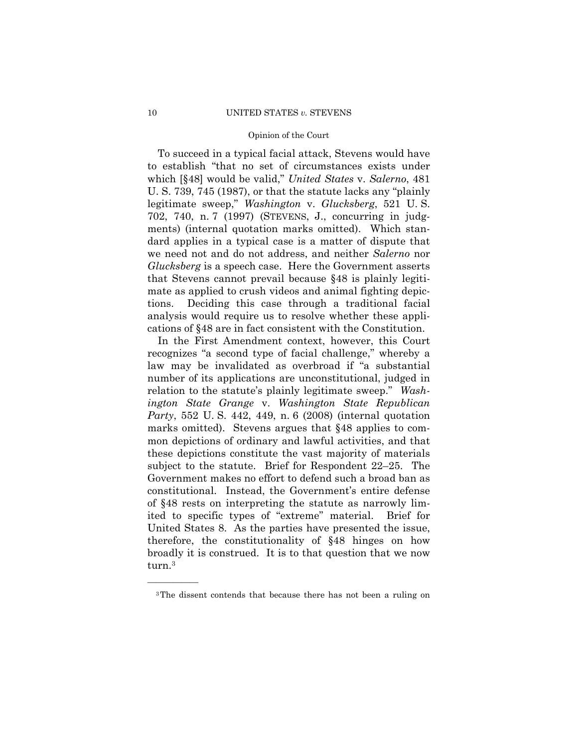To succeed in a typical facial attack, Stevens would have to establish "that no set of circumstances exists under which [§48] would be valid," *United States* v. *Salerno*, 481 U. S. 739, 745 (1987), or that the statute lacks any "plainly legitimate sweep," *Washington* v. *Glucksberg*, 521 U. S. 702, 740, n. 7 (1997) (STEVENS, J., concurring in judgments) (internal quotation marks omitted). Which standard applies in a typical case is a matter of dispute that we need not and do not address, and neither *Salerno* nor *Glucksberg* is a speech case. Here the Government asserts that Stevens cannot prevail because §48 is plainly legitimate as applied to crush videos and animal fighting depictions. Deciding this case through a traditional facial analysis would require us to resolve whether these applications of §48 are in fact consistent with the Constitution.

In the First Amendment context, however, this Court recognizes "a second type of facial challenge," whereby a law may be invalidated as overbroad if "a substantial number of its applications are unconstitutional, judged in relation to the statute's plainly legitimate sweep." *Washington State Grange* v. *Washington State Republican Party*, 552 U. S. 442, 449, n. 6 (2008) (internal quotation marks omitted). Stevens argues that §48 applies to common depictions of ordinary and lawful activities, and that these depictions constitute the vast majority of materials subject to the statute. Brief for Respondent 22–25. The Government makes no effort to defend such a broad ban as constitutional. Instead, the Government's entire defense of §48 rests on interpreting the statute as narrowly limited to specific types of "extreme" material. Brief for United States 8. As the parties have presented the issue, therefore, the constitutionality of §48 hinges on how broadly it is construed. It is to that question that we now turn.3

<sup>3</sup>The dissent contends that because there has not been a ruling on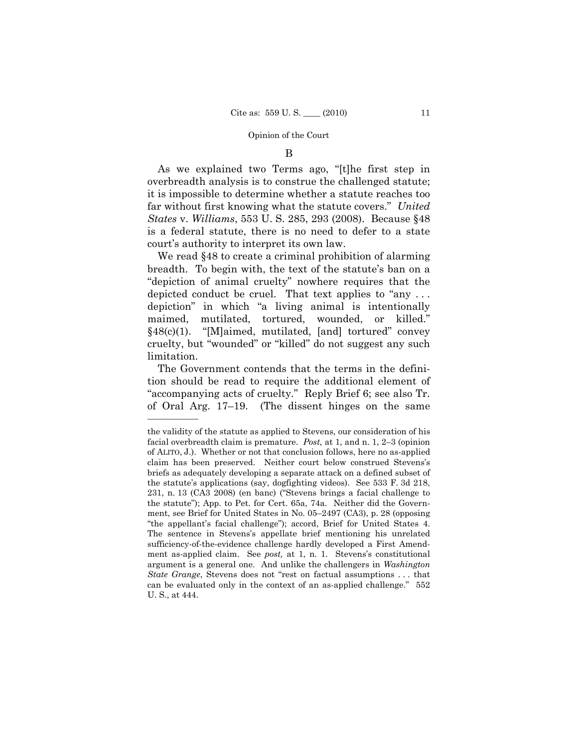B

As we explained two Terms ago, "[t]he first step in overbreadth analysis is to construe the challenged statute; it is impossible to determine whether a statute reaches too far without first knowing what the statute covers." *United States* v. *Williams*, 553 U. S. 285, 293 (2008). Because §48 is a federal statute, there is no need to defer to a state court's authority to interpret its own law.

We read §48 to create a criminal prohibition of alarming breadth. To begin with, the text of the statute's ban on a "depiction of animal cruelty" nowhere requires that the depicted conduct be cruel. That text applies to "any . . . depiction" in which "a living animal is intentionally maimed, mutilated, tortured, wounded, or killed." §48(c)(1). "[M]aimed, mutilated, [and] tortured" convey cruelty, but "wounded" or "killed" do not suggest any such limitation.

The Government contends that the terms in the definition should be read to require the additional element of "accompanying acts of cruelty." Reply Brief 6; see also Tr. of Oral Arg. 17–19. (The dissent hinges on the same

the validity of the statute as applied to Stevens, our consideration of his facial overbreadth claim is premature. *Post,* at 1, and n. 1, 2–3 (opinion of ALITO, J.). Whether or not that conclusion follows, here no as-applied claim has been preserved. Neither court below construed Stevens's briefs as adequately developing a separate attack on a defined subset of the statute's applications (say, dogfighting videos). See 533 F. 3d 218, 231, n. 13 (CA3 2008) (en banc) ("Stevens brings a facial challenge to the statute"); App. to Pet. for Cert. 65a, 74a. Neither did the Government, see Brief for United States in No. 05–2497 (CA3), p. 28 (opposing "the appellant's facial challenge"); accord, Brief for United States 4. The sentence in Stevens's appellate brief mentioning his unrelated sufficiency-of-the-evidence challenge hardly developed a First Amendment as-applied claim. See *post,* at 1, n. 1. Stevens's constitutional argument is a general one. And unlike the challengers in *Washington State Grange*, Stevens does not "rest on factual assumptions . . . that can be evaluated only in the context of an as-applied challenge." 552 U. S., at 444.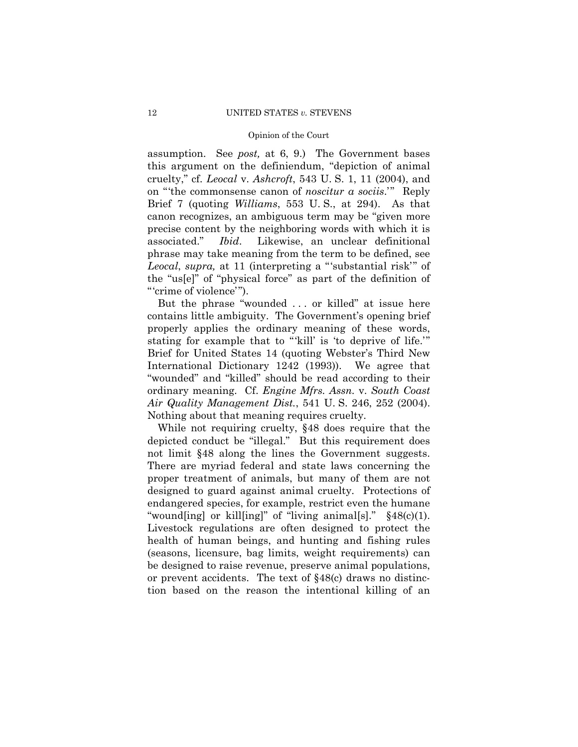assumption. See *post,* at 6, 9.) The Government bases this argument on the definiendum, "depiction of animal cruelty," cf. *Leocal* v. *Ashcroft*, 543 U. S. 1, 11 (2004), and on "'the commonsense canon of *noscitur a sociis*.'" Reply Brief 7 (quoting *Williams*, 553 U. S., at 294). As that canon recognizes, an ambiguous term may be "given more precise content by the neighboring words with which it is associated." *Ibid*. Likewise, an unclear definitional phrase may take meaning from the term to be defined, see *Leocal*, *supra,* at 11 (interpreting a "'substantial risk'" of the "us[e]" of "physical force" as part of the definition of "'crime of violence'").

But the phrase "wounded . . . or killed" at issue here contains little ambiguity. The Government's opening brief properly applies the ordinary meaning of these words, stating for example that to "'kill' is 'to deprive of life.'" Brief for United States 14 (quoting Webster's Third New International Dictionary 1242 (1993)). We agree that "wounded" and "killed" should be read according to their ordinary meaning. Cf. *Engine Mfrs. Assn.* v. *South Coast Air Quality Management Dist.*, 541 U. S. 246, 252 (2004). Nothing about that meaning requires cruelty.

While not requiring cruelty, §48 does require that the depicted conduct be "illegal." But this requirement does not limit §48 along the lines the Government suggests. There are myriad federal and state laws concerning the proper treatment of animals, but many of them are not designed to guard against animal cruelty. Protections of endangered species, for example, restrict even the humane "wound[ing] or kill[ing]" of "living animal[s]." §48(c)(1). Livestock regulations are often designed to protect the health of human beings, and hunting and fishing rules (seasons, licensure, bag limits, weight requirements) can be designed to raise revenue, preserve animal populations, or prevent accidents. The text of §48(c) draws no distinction based on the reason the intentional killing of an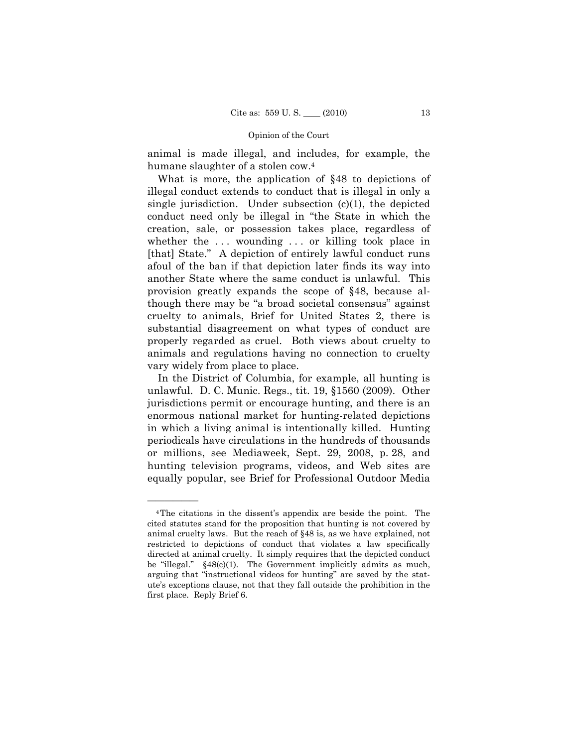animal is made illegal, and includes, for example, the humane slaughter of a stolen cow.4

What is more, the application of §48 to depictions of illegal conduct extends to conduct that is illegal in only a single jurisdiction. Under subsection  $(c)(1)$ , the depicted conduct need only be illegal in "the State in which the creation, sale, or possession takes place, regardless of whether the ... wounding ... or killing took place in [that] State." A depiction of entirely lawful conduct runs afoul of the ban if that depiction later finds its way into another State where the same conduct is unlawful. This provision greatly expands the scope of §48, because although there may be "a broad societal consensus" against cruelty to animals, Brief for United States 2, there is substantial disagreement on what types of conduct are properly regarded as cruel. Both views about cruelty to animals and regulations having no connection to cruelty vary widely from place to place.

In the District of Columbia, for example, all hunting is unlawful. D. C. Munic. Regs., tit. 19, §1560 (2009). Other jurisdictions permit or encourage hunting, and there is an enormous national market for hunting-related depictions in which a living animal is intentionally killed. Hunting periodicals have circulations in the hundreds of thousands or millions, see Mediaweek, Sept. 29, 2008, p. 28, and hunting television programs, videos, and Web sites are equally popular, see Brief for Professional Outdoor Media

<sup>4</sup>The citations in the dissent's appendix are beside the point. The cited statutes stand for the proposition that hunting is not covered by animal cruelty laws. But the reach of §48 is, as we have explained, not restricted to depictions of conduct that violates a law specifically directed at animal cruelty. It simply requires that the depicted conduct be "illegal." §48(c)(1). The Government implicitly admits as much, arguing that "instructional videos for hunting" are saved by the statute's exceptions clause, not that they fall outside the prohibition in the first place. Reply Brief 6.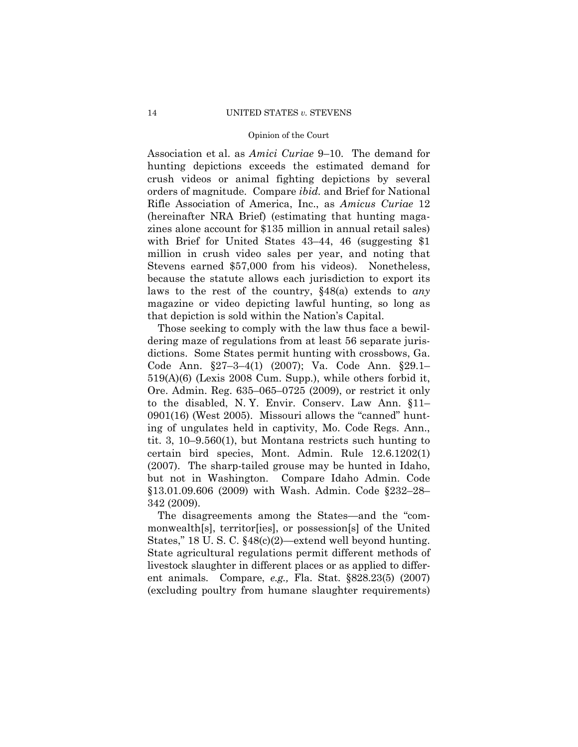Association et al. as *Amici Curiae* 9–10. The demand for hunting depictions exceeds the estimated demand for crush videos or animal fighting depictions by several orders of magnitude. Compare *ibid.* and Brief for National Rifle Association of America, Inc., as *Amicus Curiae* 12 (hereinafter NRA Brief) (estimating that hunting magazines alone account for \$135 million in annual retail sales) with Brief for United States 43–44, 46 (suggesting \$1) million in crush video sales per year, and noting that Stevens earned \$57,000 from his videos). Nonetheless, because the statute allows each jurisdiction to export its laws to the rest of the country, §48(a) extends to *any* magazine or video depicting lawful hunting, so long as that depiction is sold within the Nation's Capital.

Those seeking to comply with the law thus face a bewildering maze of regulations from at least 56 separate jurisdictions. Some States permit hunting with crossbows, Ga. Code Ann. §27–3–4(1) (2007); Va. Code Ann. §29.1– 519(A)(6) (Lexis 2008 Cum. Supp.), while others forbid it, Ore. Admin. Reg. 635–065–0725 (2009), or restrict it only to the disabled, N. Y. Envir. Conserv. Law Ann. §11– 0901(16) (West 2005). Missouri allows the "canned" hunting of ungulates held in captivity, Mo. Code Regs. Ann., tit. 3, 10–9.560(1), but Montana restricts such hunting to certain bird species, Mont. Admin. Rule 12.6.1202(1) (2007). The sharp-tailed grouse may be hunted in Idaho, but not in Washington. Compare Idaho Admin. Code §13.01.09.606 (2009) with Wash. Admin. Code §232–28– 342 (2009).

The disagreements among the States—and the "commonwealth[s], territor[ies], or possession[s] of the United States," 18 U. S. C. §48(c)(2)—extend well beyond hunting. State agricultural regulations permit different methods of livestock slaughter in different places or as applied to different animals. Compare, *e.g.,* Fla. Stat. §828.23(5) (2007) (excluding poultry from humane slaughter requirements)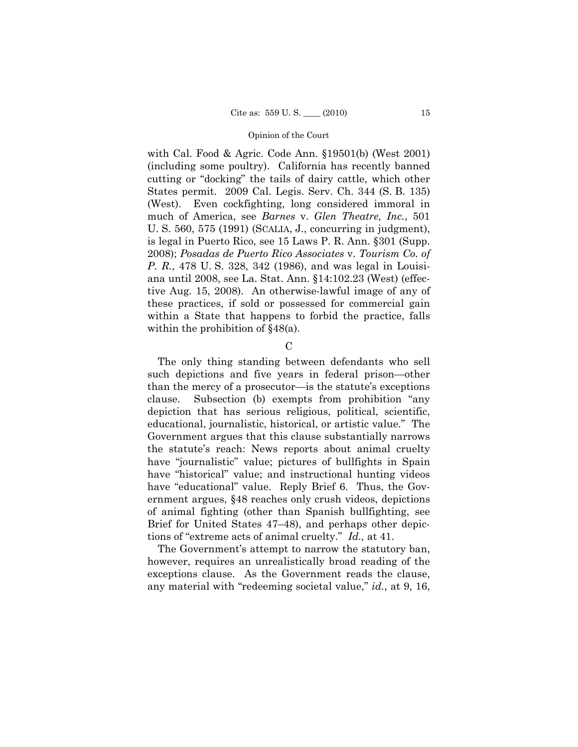with Cal. Food & Agric. Code Ann. §19501(b) (West 2001) (including some poultry). California has recently banned cutting or "docking" the tails of dairy cattle, which other States permit. 2009 Cal. Legis. Serv. Ch. 344 (S. B. 135) (West). Even cockfighting, long considered immoral in much of America, see *Barnes* v. *Glen Theatre, Inc.*, 501 U. S. 560, 575 (1991) (SCALIA, J., concurring in judgment), is legal in Puerto Rico, see 15 Laws P. R. Ann. §301 (Supp. 2008); *Posadas de Puerto Rico Associates* v. *Tourism Co. of P. R.*, 478 U. S. 328, 342 (1986), and was legal in Louisiana until 2008, see La. Stat. Ann. §14:102.23 (West) (effective Aug. 15, 2008). An otherwise-lawful image of any of these practices, if sold or possessed for commercial gain within a State that happens to forbid the practice, falls within the prohibition of  $\S 48(a)$ .

 $\mathcal{C}$ 

The only thing standing between defendants who sell such depictions and five years in federal prison—other than the mercy of a prosecutor—is the statute's exceptions clause. Subsection (b) exempts from prohibition "any depiction that has serious religious, political, scientific, educational, journalistic, historical, or artistic value." The Government argues that this clause substantially narrows the statute's reach: News reports about animal cruelty have "journalistic" value; pictures of bullfights in Spain have "historical" value; and instructional hunting videos have "educational" value. Reply Brief 6. Thus, the Government argues, §48 reaches only crush videos, depictions of animal fighting (other than Spanish bullfighting, see Brief for United States 47–48), and perhaps other depictions of "extreme acts of animal cruelty." *Id.,* at 41.

The Government's attempt to narrow the statutory ban, however, requires an unrealistically broad reading of the exceptions clause. As the Government reads the clause, any material with "redeeming societal value," *id.*, at 9, 16,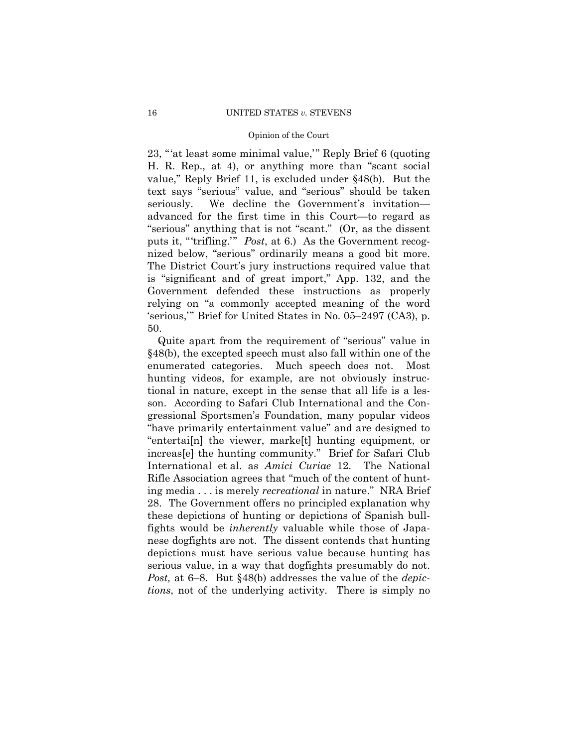23, "'at least some minimal value,'" Reply Brief 6 (quoting H. R. Rep., at 4), or anything more than "scant social value," Reply Brief 11, is excluded under §48(b). But the text says "serious" value, and "serious" should be taken seriously. We decline the Government's invitation advanced for the first time in this Court—to regard as "serious" anything that is not "scant." (Or, as the dissent puts it, "'trifling.'" *Post*, at 6.) As the Government recognized below, "serious" ordinarily means a good bit more. The District Court's jury instructions required value that is "significant and of great import," App. 132, and the Government defended these instructions as properly relying on "a commonly accepted meaning of the word 'serious,'" Brief for United States in No. 05–2497 (CA3), p. 50.

Quite apart from the requirement of "serious" value in §48(b), the excepted speech must also fall within one of the enumerated categories. Much speech does not. Most hunting videos, for example, are not obviously instructional in nature, except in the sense that all life is a lesson. According to Safari Club International and the Congressional Sportsmen's Foundation, many popular videos "have primarily entertainment value" and are designed to "entertai[n] the viewer, marke[t] hunting equipment, or increas[e] the hunting community." Brief for Safari Club International et al. as *Amici Curiae* 12. The National Rifle Association agrees that "much of the content of hunting media . . . is merely *recreational* in nature." NRA Brief 28. The Government offers no principled explanation why these depictions of hunting or depictions of Spanish bullfights would be *inherently* valuable while those of Japanese dogfights are not. The dissent contends that hunting depictions must have serious value because hunting has serious value, in a way that dogfights presumably do not. *Post,* at 6–8. But §48(b) addresses the value of the *depictions*, not of the underlying activity. There is simply no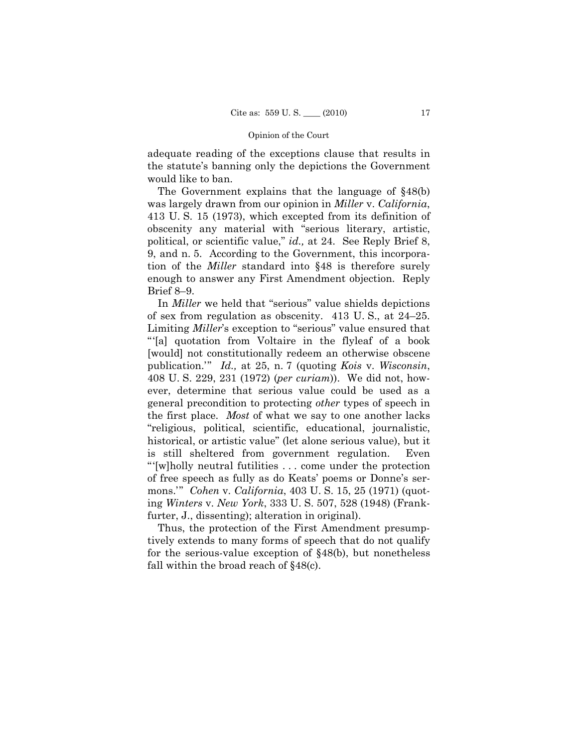adequate reading of the exceptions clause that results in the statute's banning only the depictions the Government would like to ban.

The Government explains that the language of §48(b) was largely drawn from our opinion in *Miller* v. *California*, 413 U. S. 15 (1973), which excepted from its definition of obscenity any material with "serious literary, artistic, political, or scientific value," *id.,* at 24. See Reply Brief 8, 9, and n. 5. According to the Government, this incorporation of the *Miller* standard into §48 is therefore surely enough to answer any First Amendment objection. Reply Brief 8–9.

In *Miller* we held that "serious" value shields depictions of sex from regulation as obscenity. 413 U. S., at 24–25. Limiting *Miller*'s exception to "serious" value ensured that "'[a] quotation from Voltaire in the flyleaf of a book [would] not constitutionally redeem an otherwise obscene publication.'" *Id.,* at 25, n. 7 (quoting *Kois* v. *Wisconsin*, 408 U. S. 229, 231 (1972) (*per curiam*)). We did not, however, determine that serious value could be used as a general precondition to protecting *other* types of speech in the first place. *Most* of what we say to one another lacks "religious, political, scientific, educational, journalistic, historical, or artistic value" (let alone serious value), but it is still sheltered from government regulation. Even "'[w]holly neutral futilities . . . come under the protection of free speech as fully as do Keats' poems or Donne's sermons.'" *Cohen* v. *California*, 403 U. S. 15, 25 (1971) (quoting *Winters* v. *New York*, 333 U. S. 507, 528 (1948) (Frankfurter, J., dissenting); alteration in original).

Thus, the protection of the First Amendment presumptively extends to many forms of speech that do not qualify for the serious-value exception of §48(b), but nonetheless fall within the broad reach of §48(c).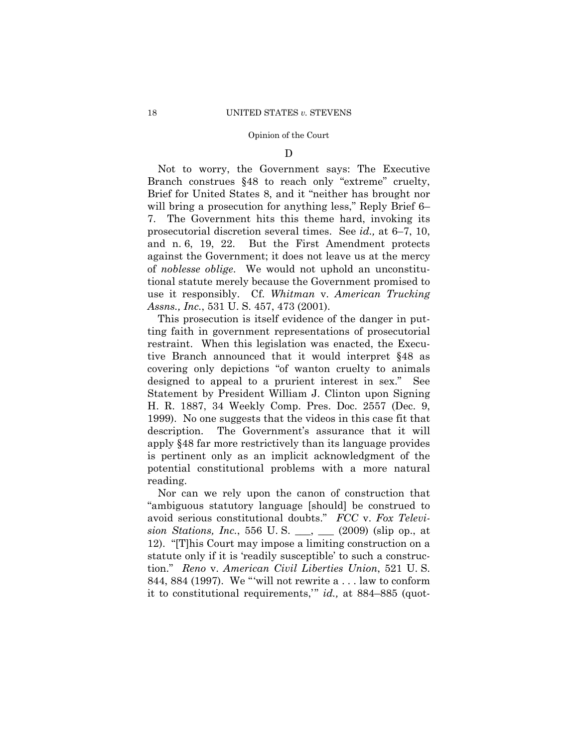D

Not to worry, the Government says: The Executive Branch construes §48 to reach only "extreme" cruelty, Brief for United States 8, and it "neither has brought nor will bring a prosecution for anything less," Reply Brief 6– 7. The Government hits this theme hard, invoking its prosecutorial discretion several times. See *id.,* at 6–7, 10, and n. 6, 19, 22. But the First Amendment protects against the Government; it does not leave us at the mercy of *noblesse oblige*. We would not uphold an unconstitutional statute merely because the Government promised to use it responsibly. Cf. *Whitman* v. *American Trucking Assns., Inc.*, 531 U. S. 457, 473 (2001).

This prosecution is itself evidence of the danger in putting faith in government representations of prosecutorial restraint. When this legislation was enacted, the Executive Branch announced that it would interpret §48 as covering only depictions "of wanton cruelty to animals designed to appeal to a prurient interest in sex." See Statement by President William J. Clinton upon Signing H. R. 1887, 34 Weekly Comp. Pres. Doc. 2557 (Dec. 9, 1999). No one suggests that the videos in this case fit that description. The Government's assurance that it will apply §48 far more restrictively than its language provides is pertinent only as an implicit acknowledgment of the potential constitutional problems with a more natural reading.

Nor can we rely upon the canon of construction that "ambiguous statutory language [should] be construed to avoid serious constitutional doubts." *FCC* v. *Fox Television Stations, Inc.*, 556 U. S. \_\_\_, \_\_\_ (2009) (slip op., at 12). "[T]his Court may impose a limiting construction on a statute only if it is 'readily susceptible' to such a construction." *Reno* v. *American Civil Liberties Union*, 521 U. S. 844, 884 (1997). We "'will not rewrite a . . . law to conform it to constitutional requirements,'" *id.,* at 884–885 (quot-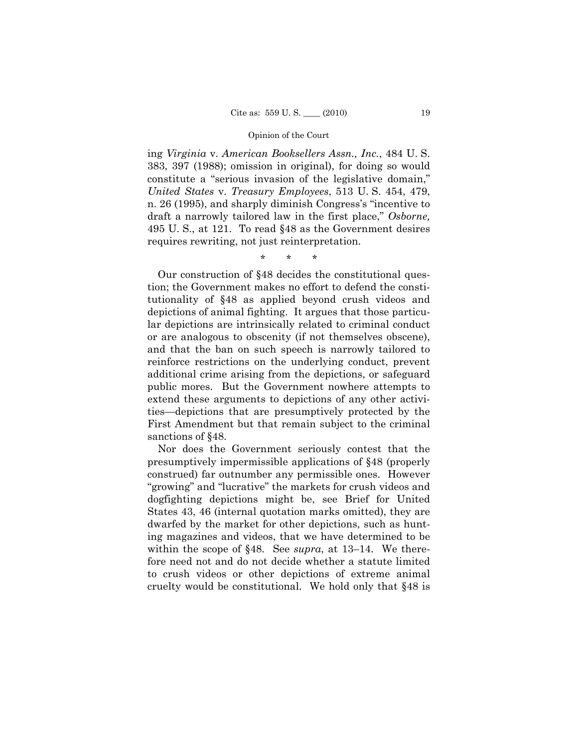ing *Virginia* v. *American Booksellers Assn., Inc.*, 484 U. S. 383, 397 (1988); omission in original), for doing so would constitute a "serious invasion of the legislative domain," *United States* v. *Treasury Employees*, 513 U. S. 454, 479, n. 26 (1995), and sharply diminish Congress's "incentive to draft a narrowly tailored law in the first place," *Osborne,*  495 U. S., at 121. To read §48 as the Government desires requires rewriting, not just reinterpretation.

\* \* \*

Our construction of §48 decides the constitutional question; the Government makes no effort to defend the constitutionality of §48 as applied beyond crush videos and depictions of animal fighting. It argues that those particular depictions are intrinsically related to criminal conduct or are analogous to obscenity (if not themselves obscene), and that the ban on such speech is narrowly tailored to reinforce restrictions on the underlying conduct, prevent additional crime arising from the depictions, or safeguard public mores. But the Government nowhere attempts to extend these arguments to depictions of any other activities—depictions that are presumptively protected by the First Amendment but that remain subject to the criminal sanctions of §48.

Nor does the Government seriously contest that the presumptively impermissible applications of §48 (properly construed) far outnumber any permissible ones. However "growing" and "lucrative" the markets for crush videos and dogfighting depictions might be, see Brief for United States 43, 46 (internal quotation marks omitted), they are dwarfed by the market for other depictions, such as hunting magazines and videos, that we have determined to be within the scope of §48. See *supra*, at 13–14. We therefore need not and do not decide whether a statute limited to crush videos or other depictions of extreme animal cruelty would be constitutional. We hold only that §48 is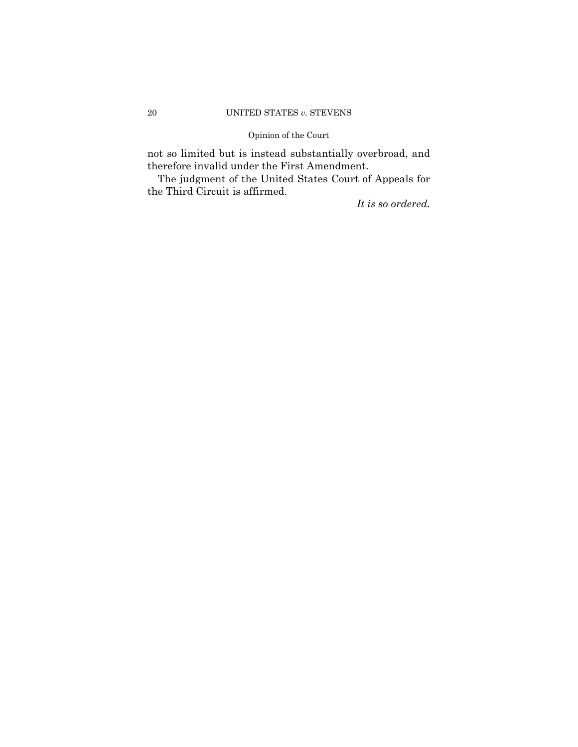## 20 UNITED STATES *v.* STEVENS

## Opinion of the Court

not so limited but is instead substantially overbroad, and therefore invalid under the First Amendment.

The judgment of the United States Court of Appeals for the Third Circuit is affirmed.

*It is so ordered.*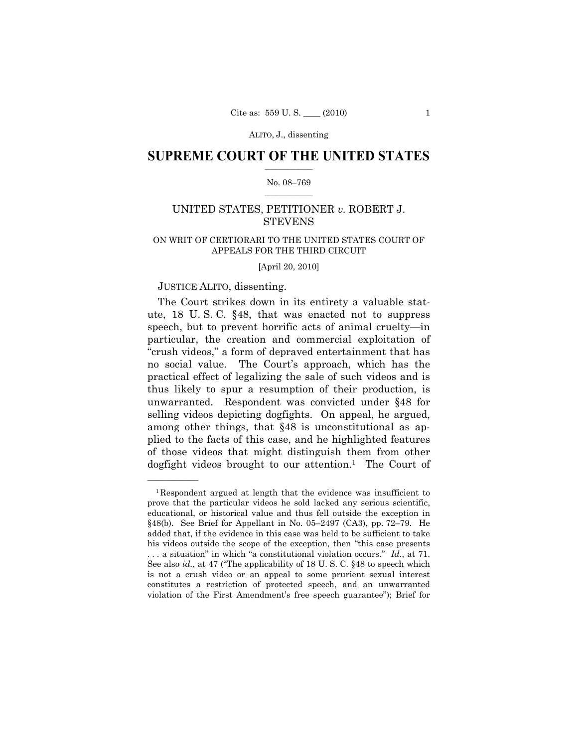## $\frac{1}{2}$  ,  $\frac{1}{2}$  ,  $\frac{1}{2}$  ,  $\frac{1}{2}$  ,  $\frac{1}{2}$  ,  $\frac{1}{2}$  ,  $\frac{1}{2}$ **SUPREME COURT OF THE UNITED STATES**

### $\frac{1}{2}$  ,  $\frac{1}{2}$  ,  $\frac{1}{2}$  ,  $\frac{1}{2}$  ,  $\frac{1}{2}$  ,  $\frac{1}{2}$ No. 08–769

## UNITED STATES, PETITIONER *v.* ROBERT J. **STEVENS**

## ON WRIT OF CERTIORARI TO THE UNITED STATES COURT OF APPEALS FOR THE THIRD CIRCUIT

[April 20, 2010]

## JUSTICE ALITO, dissenting.

——————

The Court strikes down in its entirety a valuable statute, 18 U. S. C. §48, that was enacted not to suppress speech, but to prevent horrific acts of animal cruelty—in particular, the creation and commercial exploitation of "crush videos," a form of depraved entertainment that has no social value. The Court's approach, which has the practical effect of legalizing the sale of such videos and is thus likely to spur a resumption of their production, is unwarranted. Respondent was convicted under §48 for selling videos depicting dogfights. On appeal, he argued, among other things, that §48 is unconstitutional as applied to the facts of this case, and he highlighted features of those videos that might distinguish them from other dogfight videos brought to our attention.<sup>1</sup> The Court of

<sup>1</sup>Respondent argued at length that the evidence was insufficient to prove that the particular videos he sold lacked any serious scientific, educational, or historical value and thus fell outside the exception in §48(b). See Brief for Appellant in No. 05–2497 (CA3), pp. 72–79. He added that, if the evidence in this case was held to be sufficient to take his videos outside the scope of the exception, then "this case presents . . . a situation" in which "a constitutional violation occurs." *Id.*, at 71. See also *id.*, at 47 ("The applicability of 18 U. S. C. §48 to speech which is not a crush video or an appeal to some prurient sexual interest constitutes a restriction of protected speech, and an unwarranted violation of the First Amendment's free speech guarantee"); Brief for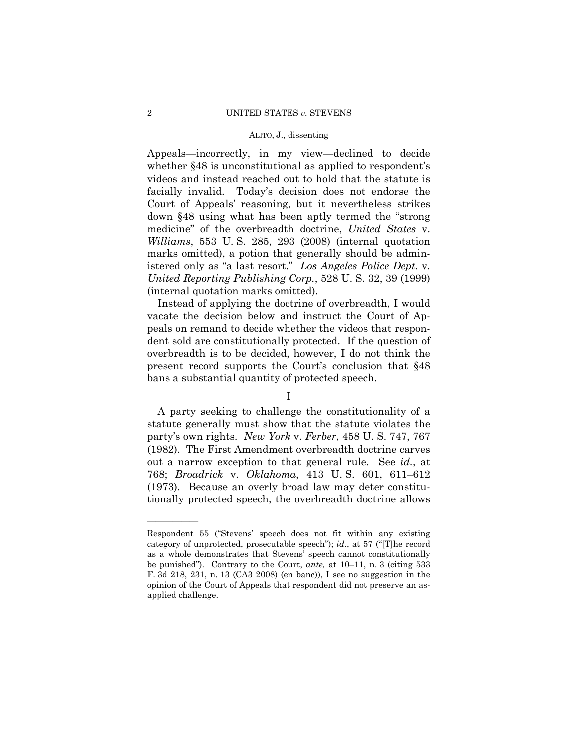Appeals—incorrectly, in my view—declined to decide whether §48 is unconstitutional as applied to respondent's videos and instead reached out to hold that the statute is facially invalid. Today's decision does not endorse the Court of Appeals' reasoning, but it nevertheless strikes down §48 using what has been aptly termed the "strong medicine" of the overbreadth doctrine, *United States* v. *Williams*, 553 U. S. 285, 293 (2008) (internal quotation marks omitted), a potion that generally should be administered only as "a last resort." *Los Angeles Police Dept.* v. *United Reporting Publishing Corp.*, 528 U. S. 32, 39 (1999) (internal quotation marks omitted).

Instead of applying the doctrine of overbreadth, I would vacate the decision below and instruct the Court of Appeals on remand to decide whether the videos that respondent sold are constitutionally protected. If the question of overbreadth is to be decided, however, I do not think the present record supports the Court's conclusion that §48 bans a substantial quantity of protected speech.

I

A party seeking to challenge the constitutionality of a statute generally must show that the statute violates the party's own rights. *New York* v. *Ferber*, 458 U. S. 747, 767 (1982). The First Amendment overbreadth doctrine carves out a narrow exception to that general rule. See *id.*, at 768; *Broadrick* v. *Oklahoma*, 413 U. S. 601, 611–612 (1973). Because an overly broad law may deter constitutionally protected speech, the overbreadth doctrine allows

Respondent 55 ("Stevens' speech does not fit within any existing category of unprotected, prosecutable speech"); *id.*, at 57 ("[T]he record as a whole demonstrates that Stevens' speech cannot constitutionally be punished"). Contrary to the Court, *ante,* at 10–11, n. 3 (citing 533 F. 3d 218, 231, n. 13 (CA3 2008) (en banc)), I see no suggestion in the opinion of the Court of Appeals that respondent did not preserve an asapplied challenge.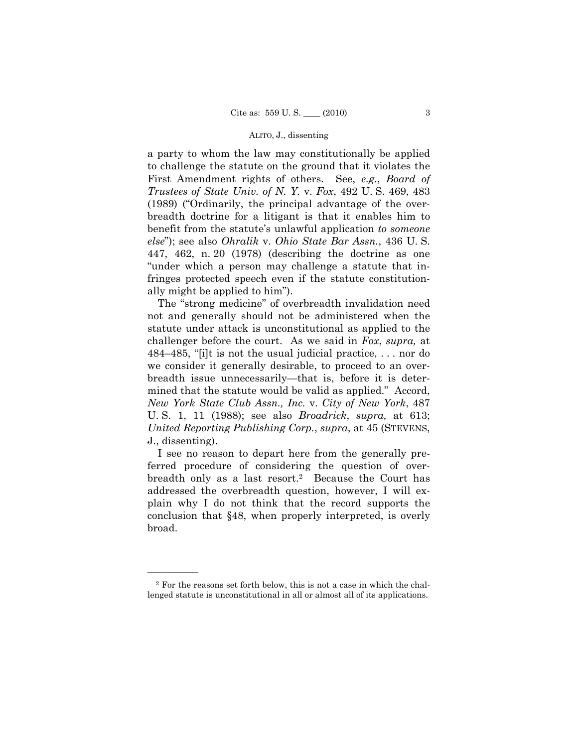a party to whom the law may constitutionally be applied to challenge the statute on the ground that it violates the First Amendment rights of others. See, *e.g.*, *Board of Trustees of State Univ. of N. Y.* v. *Fox*, 492 U. S. 469, 483 (1989) ("Ordinarily, the principal advantage of the overbreadth doctrine for a litigant is that it enables him to benefit from the statute's unlawful application *to someone else*"); see also *Ohralik* v. *Ohio State Bar Assn.*, 436 U. S. 447, 462, n. 20 (1978) (describing the doctrine as one "under which a person may challenge a statute that infringes protected speech even if the statute constitutionally might be applied to him").

The "strong medicine" of overbreadth invalidation need not and generally should not be administered when the statute under attack is unconstitutional as applied to the challenger before the court. As we said in *Fox*, *supra,* at 484–485, "[i]t is not the usual judicial practice, . . . nor do we consider it generally desirable, to proceed to an overbreadth issue unnecessarily—that is, before it is determined that the statute would be valid as applied." Accord, *New York State Club Assn., Inc.* v. *City of New York*, 487 U. S. 1, 11 (1988); see also *Broadrick*, *supra,* at 613; *United Reporting Publishing Corp.*, *supra*, at 45 (STEVENS, J., dissenting).

I see no reason to depart here from the generally preferred procedure of considering the question of overbreadth only as a last resort.<sup>2</sup> Because the Court has addressed the overbreadth question, however, I will explain why I do not think that the record supports the conclusion that §48, when properly interpreted, is overly broad.

<sup>2</sup> For the reasons set forth below, this is not a case in which the challenged statute is unconstitutional in all or almost all of its applications.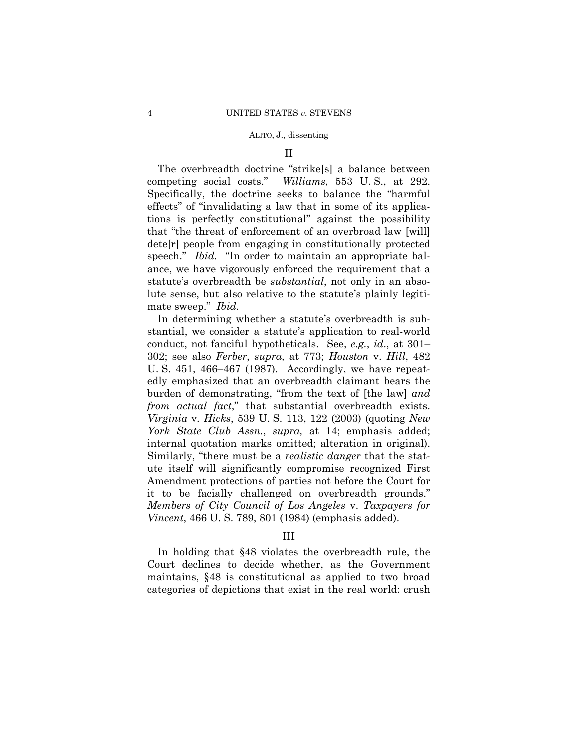### II

The overbreadth doctrine "strike[s] a balance between competing social costs." *Williams*, 553 U. S., at 292. Specifically, the doctrine seeks to balance the "harmful effects" of "invalidating a law that in some of its applications is perfectly constitutional" against the possibility that "the threat of enforcement of an overbroad law [will] dete[r] people from engaging in constitutionally protected speech." *Ibid.* "In order to maintain an appropriate balance, we have vigorously enforced the requirement that a statute's overbreadth be *substantial*, not only in an absolute sense, but also relative to the statute's plainly legitimate sweep." *Ibid.* 

In determining whether a statute's overbreadth is substantial, we consider a statute's application to real-world conduct, not fanciful hypotheticals. See, *e.g.*, *id*., at 301– 302; see also *Ferber*, *supra,* at 773; *Houston* v. *Hill*, 482 U. S. 451, 466–467 (1987). Accordingly, we have repeatedly emphasized that an overbreadth claimant bears the burden of demonstrating, "from the text of [the law] *and from actual fact*," that substantial overbreadth exists. *Virginia* v. *Hicks*, 539 U. S. 113, 122 (2003) (quoting *New York State Club Assn.*, *supra,* at 14; emphasis added; internal quotation marks omitted; alteration in original). Similarly, "there must be a *realistic danger* that the statute itself will significantly compromise recognized First Amendment protections of parties not before the Court for it to be facially challenged on overbreadth grounds." *Members of City Council of Los Angeles* v. *Taxpayers for Vincent*, 466 U. S. 789, 801 (1984) (emphasis added).

## III

In holding that §48 violates the overbreadth rule, the Court declines to decide whether, as the Government maintains, §48 is constitutional as applied to two broad categories of depictions that exist in the real world: crush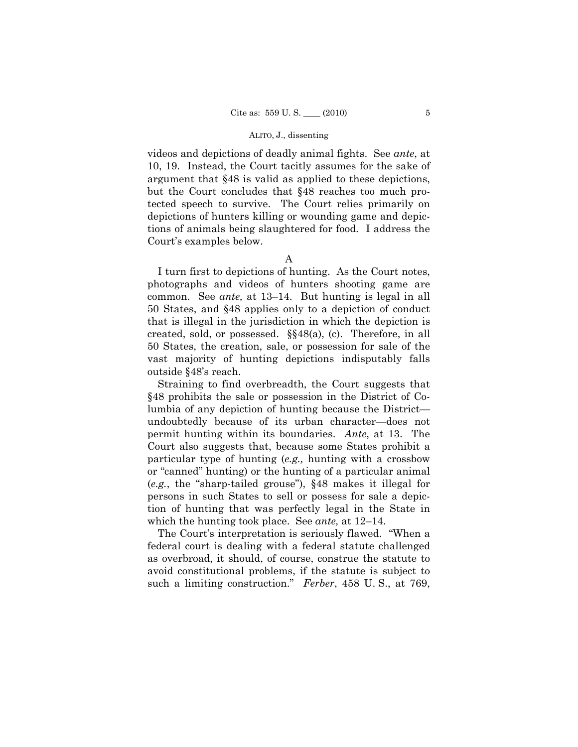videos and depictions of deadly animal fights. See *ante*, at 10, 19. Instead, the Court tacitly assumes for the sake of argument that §48 is valid as applied to these depictions, but the Court concludes that §48 reaches too much protected speech to survive. The Court relies primarily on depictions of hunters killing or wounding game and depictions of animals being slaughtered for food. I address the Court's examples below.

A

I turn first to depictions of hunting. As the Court notes, photographs and videos of hunters shooting game are common. See *ante,* at 13–14. But hunting is legal in all 50 States, and §48 applies only to a depiction of conduct that is illegal in the jurisdiction in which the depiction is created, sold, or possessed. §§48(a), (c). Therefore, in all 50 States, the creation, sale, or possession for sale of the vast majority of hunting depictions indisputably falls outside §48's reach.

Straining to find overbreadth, the Court suggests that §48 prohibits the sale or possession in the District of Columbia of any depiction of hunting because the District undoubtedly because of its urban character—does not permit hunting within its boundaries. *Ante*, at 13. The Court also suggests that, because some States prohibit a particular type of hunting (*e.g.,* hunting with a crossbow or "canned" hunting) or the hunting of a particular animal (*e.g.*, the "sharp-tailed grouse"), §48 makes it illegal for persons in such States to sell or possess for sale a depiction of hunting that was perfectly legal in the State in which the hunting took place. See *ante,* at 12–14.

The Court's interpretation is seriously flawed. "When a federal court is dealing with a federal statute challenged as overbroad, it should, of course, construe the statute to avoid constitutional problems, if the statute is subject to such a limiting construction." *Ferber*, 458 U. S., at 769,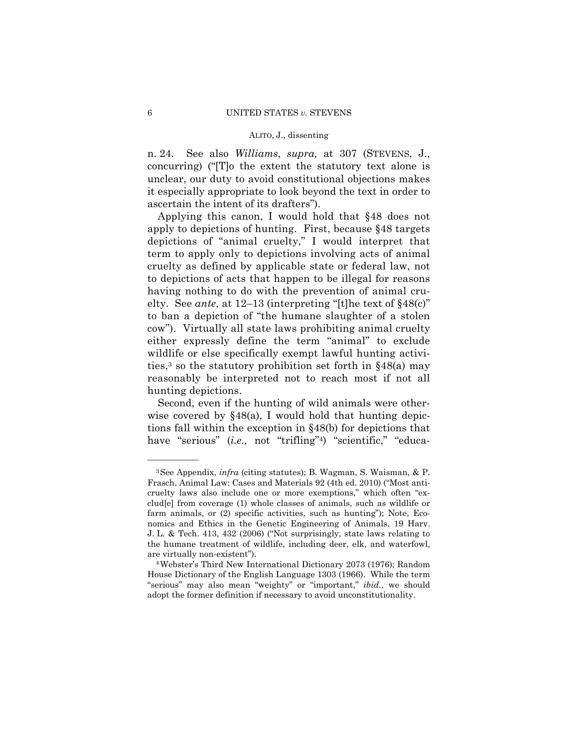n. 24. See also *Williams*, *supra,* at 307 (STEVENS, J., concurring) ("[T]o the extent the statutory text alone is unclear, our duty to avoid constitutional objections makes it especially appropriate to look beyond the text in order to ascertain the intent of its drafters").

Applying this canon, I would hold that §48 does not apply to depictions of hunting. First, because §48 targets depictions of "animal cruelty," I would interpret that term to apply only to depictions involving acts of animal cruelty as defined by applicable state or federal law, not to depictions of acts that happen to be illegal for reasons having nothing to do with the prevention of animal cruelty. See *ante*, at 12–13 (interpreting "[t]he text of §48(c)" to ban a depiction of "the humane slaughter of a stolen cow"). Virtually all state laws prohibiting animal cruelty either expressly define the term "animal" to exclude wildlife or else specifically exempt lawful hunting activities,3 so the statutory prohibition set forth in §48(a) may reasonably be interpreted not to reach most if not all hunting depictions.

Second, even if the hunting of wild animals were otherwise covered by  $§48(a)$ , I would hold that hunting depictions fall within the exception in §48(b) for depictions that have "serious" (*i.e.*, not "trifling"<sup>4</sup>) "scientific," "educa-

<sup>3</sup>See Appendix, *infra* (citing statutes); B. Wagman, S. Waisman, & P. Frasch, Animal Law: Cases and Materials 92 (4th ed. 2010) ("Most anticruelty laws also include one or more exemptions," which often "exclud[e] from coverage (1) whole classes of animals, such as wildlife or farm animals, or (2) specific activities, such as hunting"); Note, Economics and Ethics in the Genetic Engineering of Animals, 19 Harv. J. L. & Tech. 413, 432 (2006) ("Not surprisingly, state laws relating to the humane treatment of wildlife, including deer, elk, and waterfowl,

are virtually non-existent"). 4Webster's Third New International Dictionary 2073 (1976); Random House Dictionary of the English Language 1303 (1966). While the term "serious" may also mean "weighty" or "important," *ibid.*, we should adopt the former definition if necessary to avoid unconstitutionality.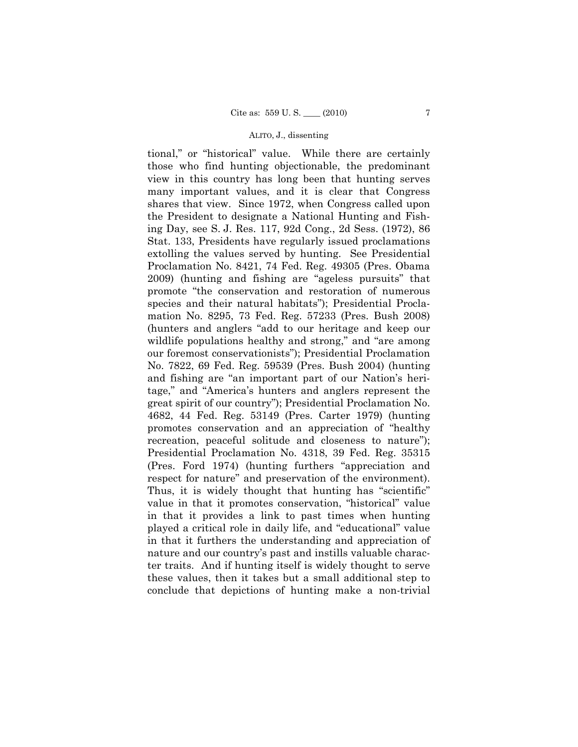tional," or "historical" value. While there are certainly those who find hunting objectionable, the predominant view in this country has long been that hunting serves many important values, and it is clear that Congress shares that view. Since 1972, when Congress called upon the President to designate a National Hunting and Fishing Day, see S. J. Res. 117, 92d Cong., 2d Sess. (1972), 86 Stat. 133, Presidents have regularly issued proclamations extolling the values served by hunting. See Presidential Proclamation No. 8421, 74 Fed. Reg. 49305 (Pres. Obama 2009) (hunting and fishing are "ageless pursuits" that promote "the conservation and restoration of numerous species and their natural habitats"); Presidential Proclamation No. 8295, 73 Fed. Reg. 57233 (Pres. Bush 2008) (hunters and anglers "add to our heritage and keep our wildlife populations healthy and strong," and "are among our foremost conservationists"); Presidential Proclamation No. 7822, 69 Fed. Reg. 59539 (Pres. Bush 2004) (hunting and fishing are "an important part of our Nation's heritage," and "America's hunters and anglers represent the great spirit of our country"); Presidential Proclamation No. 4682, 44 Fed. Reg. 53149 (Pres. Carter 1979) (hunting promotes conservation and an appreciation of "healthy recreation, peaceful solitude and closeness to nature"); Presidential Proclamation No. 4318, 39 Fed. Reg. 35315 (Pres. Ford 1974) (hunting furthers "appreciation and respect for nature" and preservation of the environment). Thus, it is widely thought that hunting has "scientific" value in that it promotes conservation, "historical" value in that it provides a link to past times when hunting played a critical role in daily life, and "educational" value in that it furthers the understanding and appreciation of nature and our country's past and instills valuable character traits. And if hunting itself is widely thought to serve these values, then it takes but a small additional step to conclude that depictions of hunting make a non-trivial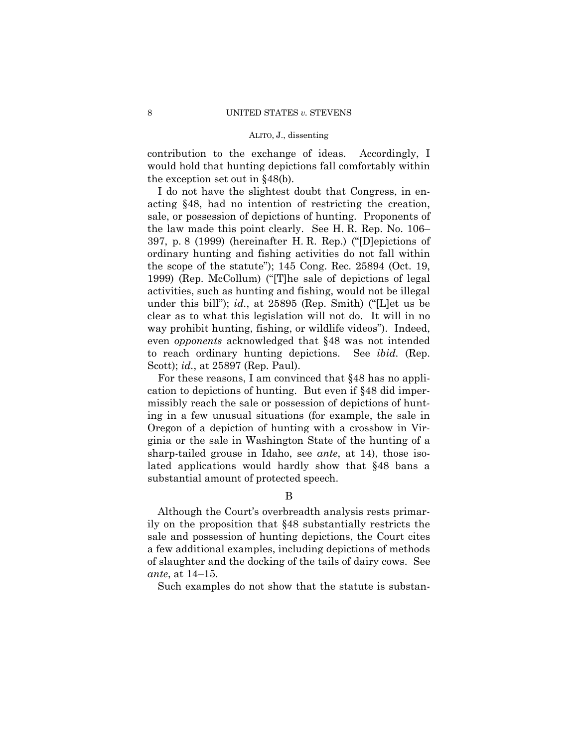contribution to the exchange of ideas. Accordingly, I would hold that hunting depictions fall comfortably within the exception set out in §48(b).

I do not have the slightest doubt that Congress, in enacting §48, had no intention of restricting the creation, sale, or possession of depictions of hunting. Proponents of the law made this point clearly. See H. R. Rep. No. 106– 397, p. 8 (1999) (hereinafter H. R. Rep.) ("[D]epictions of ordinary hunting and fishing activities do not fall within the scope of the statute"); 145 Cong. Rec. 25894 (Oct. 19, 1999) (Rep. McCollum) ("[T]he sale of depictions of legal activities, such as hunting and fishing, would not be illegal under this bill"); *id.*, at 25895 (Rep. Smith) ("[L]et us be clear as to what this legislation will not do. It will in no way prohibit hunting, fishing, or wildlife videos"). Indeed, even *opponents* acknowledged that §48 was not intended to reach ordinary hunting depictions. See *ibid.* (Rep. Scott); *id.*, at 25897 (Rep. Paul).

For these reasons, I am convinced that §48 has no application to depictions of hunting. But even if §48 did impermissibly reach the sale or possession of depictions of hunting in a few unusual situations (for example, the sale in Oregon of a depiction of hunting with a crossbow in Virginia or the sale in Washington State of the hunting of a sharp-tailed grouse in Idaho, see *ante*, at 14), those isolated applications would hardly show that §48 bans a substantial amount of protected speech.

## B

Although the Court's overbreadth analysis rests primarily on the proposition that §48 substantially restricts the sale and possession of hunting depictions, the Court cites a few additional examples, including depictions of methods of slaughter and the docking of the tails of dairy cows. See *ante*, at 14–15.

Such examples do not show that the statute is substan-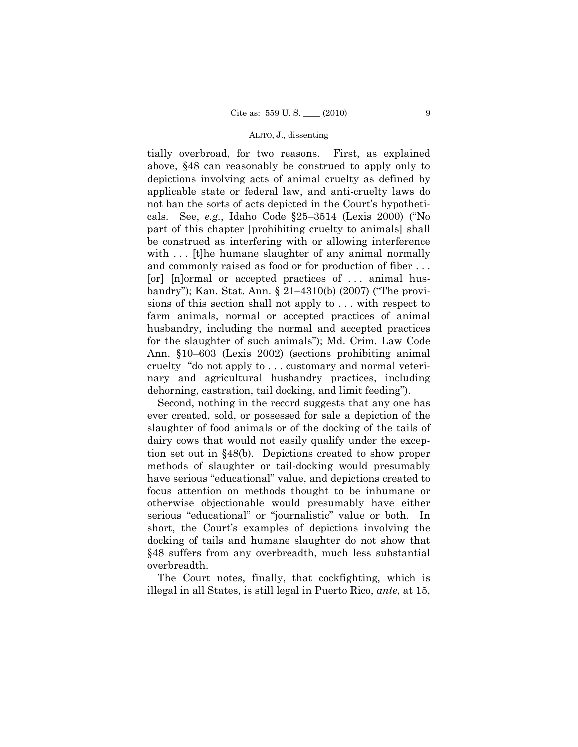tially overbroad, for two reasons. First, as explained above, §48 can reasonably be construed to apply only to depictions involving acts of animal cruelty as defined by applicable state or federal law, and anti-cruelty laws do not ban the sorts of acts depicted in the Court's hypotheticals. See, *e.g.*, Idaho Code §25–3514 (Lexis 2000) ("No part of this chapter [prohibiting cruelty to animals] shall be construed as interfering with or allowing interference with ... [t]he humane slaughter of any animal normally and commonly raised as food or for production of fiber . . . [or] [n]ormal or accepted practices of . . . animal husbandry"); Kan. Stat. Ann. § 21–4310(b) (2007) ("The provisions of this section shall not apply to . . . with respect to farm animals, normal or accepted practices of animal husbandry, including the normal and accepted practices for the slaughter of such animals"); Md. Crim. Law Code Ann. §10–603 (Lexis 2002) (sections prohibiting animal cruelty "do not apply to . . . customary and normal veterinary and agricultural husbandry practices, including dehorning, castration, tail docking, and limit feeding").

Second, nothing in the record suggests that any one has ever created, sold, or possessed for sale a depiction of the slaughter of food animals or of the docking of the tails of dairy cows that would not easily qualify under the exception set out in §48(b). Depictions created to show proper methods of slaughter or tail-docking would presumably have serious "educational" value, and depictions created to focus attention on methods thought to be inhumane or otherwise objectionable would presumably have either serious "educational" or "journalistic" value or both. In short, the Court's examples of depictions involving the docking of tails and humane slaughter do not show that §48 suffers from any overbreadth, much less substantial overbreadth.

The Court notes, finally, that cockfighting, which is illegal in all States, is still legal in Puerto Rico, *ante*, at 15,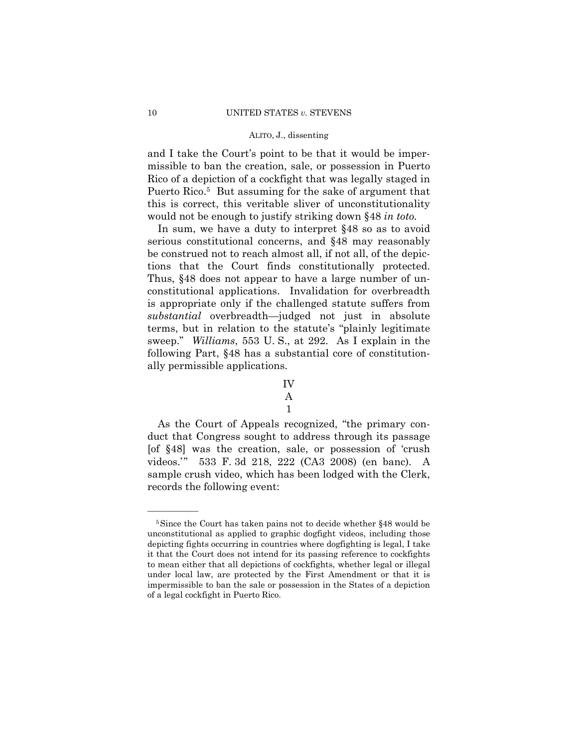and I take the Court's point to be that it would be impermissible to ban the creation, sale, or possession in Puerto Rico of a depiction of a cockfight that was legally staged in Puerto Rico.<sup>5</sup> But assuming for the sake of argument that this is correct, this veritable sliver of unconstitutionality would not be enough to justify striking down §48 *in toto.* 

In sum, we have a duty to interpret §48 so as to avoid serious constitutional concerns, and §48 may reasonably be construed not to reach almost all, if not all, of the depictions that the Court finds constitutionally protected. Thus, §48 does not appear to have a large number of unconstitutional applications. Invalidation for overbreadth is appropriate only if the challenged statute suffers from *substantial* overbreadth—judged not just in absolute terms, but in relation to the statute's "plainly legitimate sweep." *Williams*, 553 U. S., at 292. As I explain in the following Part, §48 has a substantial core of constitutionally permissible applications.

As the Court of Appeals recognized, "the primary conduct that Congress sought to address through its passage [of §48] was the creation, sale, or possession of 'crush videos.'" 533 F. 3d 218, 222 (CA3 2008) (en banc). A sample crush video, which has been lodged with the Clerk, records the following event:

IV A

<sup>1</sup> 

<sup>5</sup>Since the Court has taken pains not to decide whether §48 would be unconstitutional as applied to graphic dogfight videos, including those depicting fights occurring in countries where dogfighting is legal, I take it that the Court does not intend for its passing reference to cockfights to mean either that all depictions of cockfights, whether legal or illegal under local law, are protected by the First Amendment or that it is impermissible to ban the sale or possession in the States of a depiction of a legal cockfight in Puerto Rico.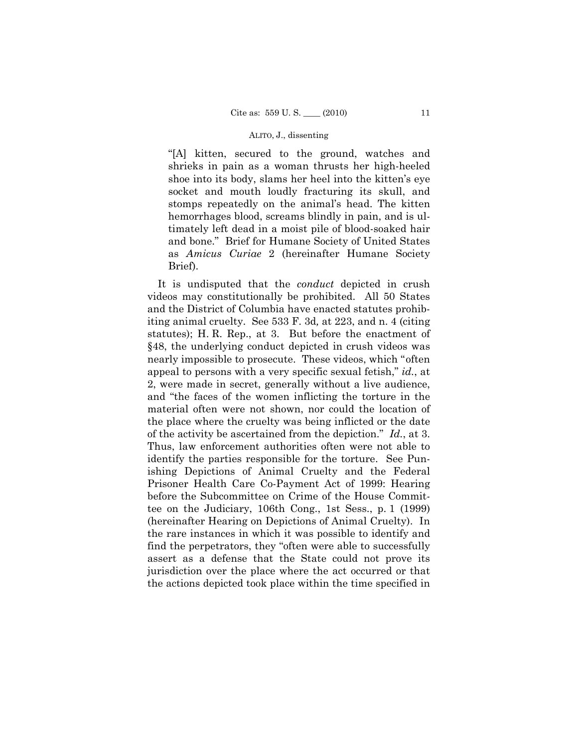"[A] kitten, secured to the ground, watches and shrieks in pain as a woman thrusts her high-heeled shoe into its body, slams her heel into the kitten's eye socket and mouth loudly fracturing its skull, and stomps repeatedly on the animal's head. The kitten hemorrhages blood, screams blindly in pain, and is ultimately left dead in a moist pile of blood-soaked hair and bone." Brief for Humane Society of United States as *Amicus Curiae* 2 (hereinafter Humane Society Brief).

It is undisputed that the *conduct* depicted in crush videos may constitutionally be prohibited. All 50 States and the District of Columbia have enacted statutes prohibiting animal cruelty. See 533 F. 3d*,* at 223, and n. 4 (citing statutes); H. R. Rep., at 3. But before the enactment of §48, the underlying conduct depicted in crush videos was nearly impossible to prosecute. These videos, which "often appeal to persons with a very specific sexual fetish," *id.*, at 2, were made in secret, generally without a live audience, and "the faces of the women inflicting the torture in the material often were not shown, nor could the location of the place where the cruelty was being inflicted or the date of the activity be ascertained from the depiction." *Id.*, at 3. Thus, law enforcement authorities often were not able to identify the parties responsible for the torture. See Punishing Depictions of Animal Cruelty and the Federal Prisoner Health Care Co-Payment Act of 1999: Hearing before the Subcommittee on Crime of the House Committee on the Judiciary, 106th Cong., 1st Sess., p. 1 (1999) (hereinafter Hearing on Depictions of Animal Cruelty). In the rare instances in which it was possible to identify and find the perpetrators, they "often were able to successfully assert as a defense that the State could not prove its jurisdiction over the place where the act occurred or that the actions depicted took place within the time specified in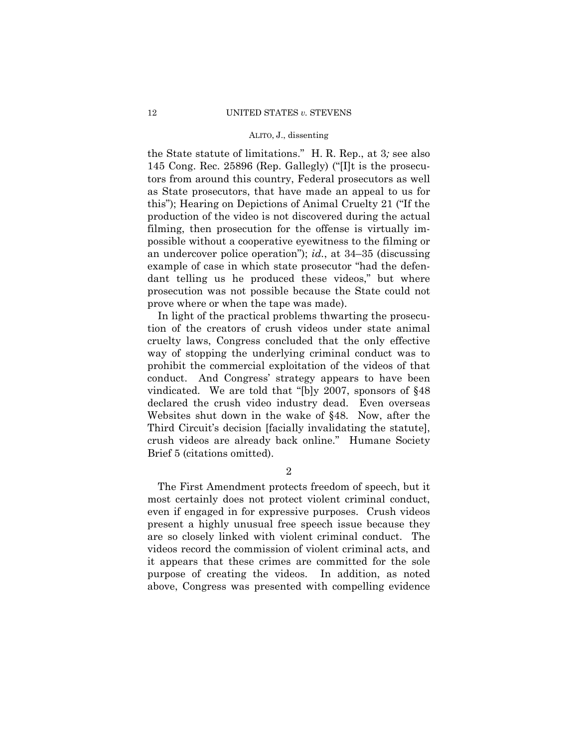the State statute of limitations." H. R. Rep., at 3*;* see also 145 Cong. Rec. 25896 (Rep. Gallegly) ("[I]t is the prosecutors from around this country, Federal prosecutors as well as State prosecutors, that have made an appeal to us for this"); Hearing on Depictions of Animal Cruelty 21 ("If the production of the video is not discovered during the actual filming, then prosecution for the offense is virtually impossible without a cooperative eyewitness to the filming or an undercover police operation"); *id.*, at 34–35 (discussing example of case in which state prosecutor "had the defendant telling us he produced these videos," but where prosecution was not possible because the State could not prove where or when the tape was made).

In light of the practical problems thwarting the prosecution of the creators of crush videos under state animal cruelty laws, Congress concluded that the only effective way of stopping the underlying criminal conduct was to prohibit the commercial exploitation of the videos of that conduct. And Congress' strategy appears to have been vindicated. We are told that "[b]y 2007, sponsors of §48 declared the crush video industry dead. Even overseas Websites shut down in the wake of §48. Now, after the Third Circuit's decision [facially invalidating the statute], crush videos are already back online." Humane Society Brief 5 (citations omitted).

 $\mathcal{D}_{2}$ 

The First Amendment protects freedom of speech, but it most certainly does not protect violent criminal conduct, even if engaged in for expressive purposes. Crush videos present a highly unusual free speech issue because they are so closely linked with violent criminal conduct. The videos record the commission of violent criminal acts, and it appears that these crimes are committed for the sole purpose of creating the videos. In addition, as noted above, Congress was presented with compelling evidence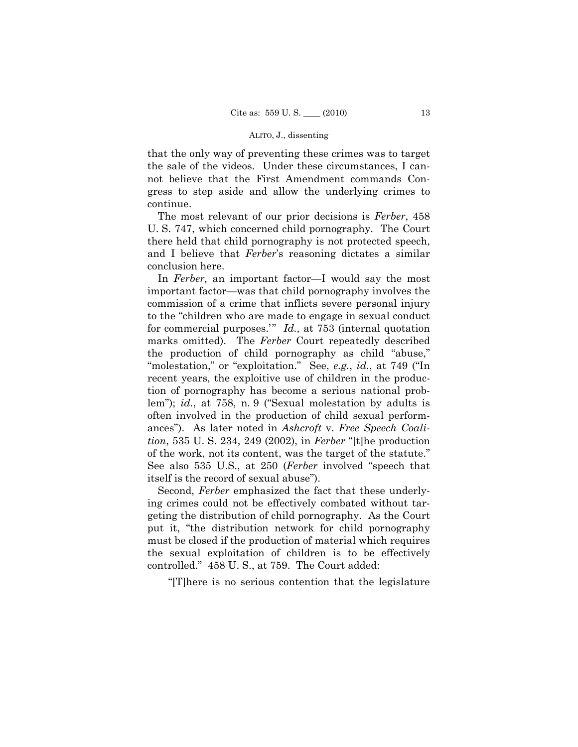that the only way of preventing these crimes was to target the sale of the videos. Under these circumstances, I cannot believe that the First Amendment commands Congress to step aside and allow the underlying crimes to continue.

The most relevant of our prior decisions is *Ferber*, 458 U. S. 747, which concerned child pornography. The Court there held that child pornography is not protected speech, and I believe that *Ferber*'s reasoning dictates a similar conclusion here.

In *Ferber,* an important factor—I would say the most important factor—was that child pornography involves the commission of a crime that inflicts severe personal injury to the "children who are made to engage in sexual conduct for commercial purposes.'" *Id.,* at 753 (internal quotation marks omitted). The *Ferber* Court repeatedly described the production of child pornography as child "abuse," "molestation," or "exploitation." See, *e.g.*, *id.*, at 749 ("In recent years, the exploitive use of children in the production of pornography has become a serious national problem"); *id.*, at 758, n. 9 ("Sexual molestation by adults is often involved in the production of child sexual performances"). As later noted in *Ashcroft* v. *Free Speech Coalition*, 535 U. S. 234, 249 (2002), in *Ferber* "[t]he production of the work, not its content, was the target of the statute." See also 535 U.S., at 250 (*Ferber* involved "speech that itself is the record of sexual abuse").

Second, *Ferber* emphasized the fact that these underlying crimes could not be effectively combated without targeting the distribution of child pornography. As the Court put it, "the distribution network for child pornography must be closed if the production of material which requires the sexual exploitation of children is to be effectively controlled." 458 U. S., at 759. The Court added:

"[T]here is no serious contention that the legislature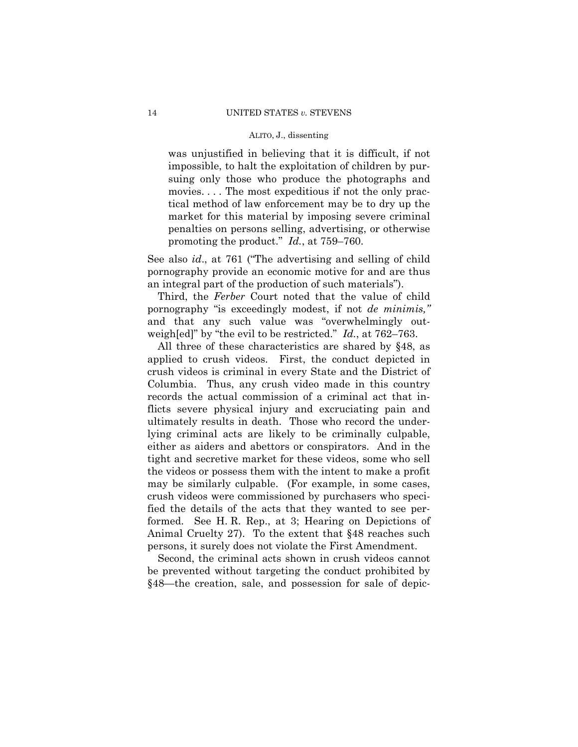was unjustified in believing that it is difficult, if not impossible, to halt the exploitation of children by pursuing only those who produce the photographs and movies. . . . The most expeditious if not the only practical method of law enforcement may be to dry up the market for this material by imposing severe criminal penalties on persons selling, advertising, or otherwise promoting the product." *Id.*, at 759–760.

See also *id*., at 761 ("The advertising and selling of child pornography provide an economic motive for and are thus an integral part of the production of such materials").

 Third, the *Ferber* Court noted that the value of child pornography "is exceedingly modest, if not *de minimis,"*  and that any such value was "overwhelmingly outweigh[ed]" by "the evil to be restricted." *Id.*, at 762–763.

All three of these characteristics are shared by §48, as applied to crush videos. First, the conduct depicted in crush videos is criminal in every State and the District of Columbia. Thus, any crush video made in this country records the actual commission of a criminal act that inflicts severe physical injury and excruciating pain and ultimately results in death. Those who record the underlying criminal acts are likely to be criminally culpable, either as aiders and abettors or conspirators. And in the tight and secretive market for these videos, some who sell the videos or possess them with the intent to make a profit may be similarly culpable. (For example, in some cases, crush videos were commissioned by purchasers who specified the details of the acts that they wanted to see performed. See H. R. Rep., at 3; Hearing on Depictions of Animal Cruelty 27). To the extent that §48 reaches such persons, it surely does not violate the First Amendment.

Second, the criminal acts shown in crush videos cannot be prevented without targeting the conduct prohibited by §48—the creation, sale, and possession for sale of depic-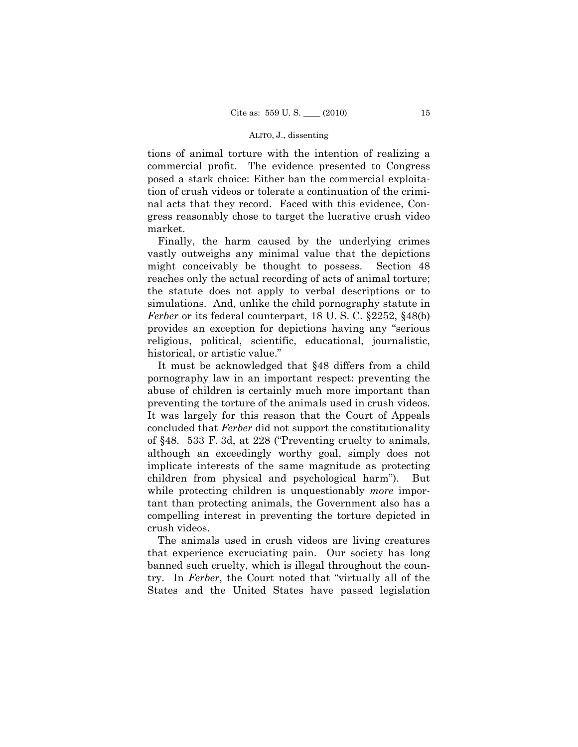tions of animal torture with the intention of realizing a commercial profit. The evidence presented to Congress posed a stark choice: Either ban the commercial exploitation of crush videos or tolerate a continuation of the criminal acts that they record. Faced with this evidence, Congress reasonably chose to target the lucrative crush video market.

Finally, the harm caused by the underlying crimes vastly outweighs any minimal value that the depictions might conceivably be thought to possess. Section 48 reaches only the actual recording of acts of animal torture; the statute does not apply to verbal descriptions or to simulations. And, unlike the child pornography statute in *Ferber* or its federal counterpart, 18 U. S. C. §2252, §48(b) provides an exception for depictions having any "serious religious, political, scientific, educational, journalistic, historical, or artistic value."

It must be acknowledged that §48 differs from a child pornography law in an important respect: preventing the abuse of children is certainly much more important than preventing the torture of the animals used in crush videos. It was largely for this reason that the Court of Appeals concluded that *Ferber* did not support the constitutionality of §48. 533 F. 3d, at 228 ("Preventing cruelty to animals, although an exceedingly worthy goal, simply does not implicate interests of the same magnitude as protecting children from physical and psychological harm"). But while protecting children is unquestionably *more* important than protecting animals, the Government also has a compelling interest in preventing the torture depicted in crush videos.

The animals used in crush videos are living creatures that experience excruciating pain. Our society has long banned such cruelty, which is illegal throughout the country. In *Ferber*, the Court noted that "virtually all of the States and the United States have passed legislation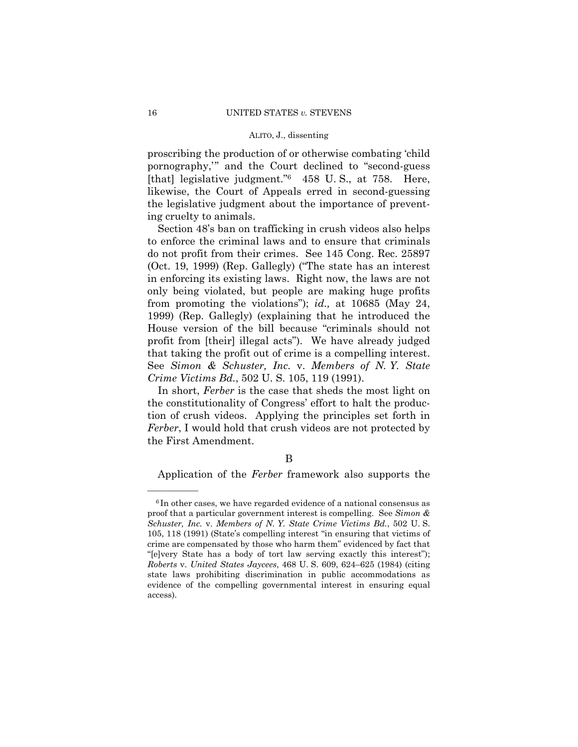proscribing the production of or otherwise combating 'child pornography,'" and the Court declined to "second-guess [that] legislative judgment."6 458 U. S., at 758. Here, likewise, the Court of Appeals erred in second-guessing the legislative judgment about the importance of preventing cruelty to animals.

Section 48's ban on trafficking in crush videos also helps to enforce the criminal laws and to ensure that criminals do not profit from their crimes. See 145 Cong. Rec. 25897 (Oct. 19, 1999) (Rep. Gallegly) ("The state has an interest in enforcing its existing laws. Right now, the laws are not only being violated, but people are making huge profits from promoting the violations"); *id.,* at 10685 (May 24, 1999) (Rep. Gallegly) (explaining that he introduced the House version of the bill because "criminals should not profit from [their] illegal acts"). We have already judged that taking the profit out of crime is a compelling interest. See *Simon & Schuster, Inc.* v. *Members of N. Y. State Crime Victims Bd.*, 502 U. S. 105, 119 (1991).

 In short, *Ferber* is the case that sheds the most light on the constitutionality of Congress' effort to halt the production of crush videos. Applying the principles set forth in *Ferber*, I would hold that crush videos are not protected by the First Amendment.

## B

Application of the *Ferber* framework also supports the

<sup>&</sup>lt;sup>6</sup>In other cases, we have regarded evidence of a national consensus as proof that a particular government interest is compelling. See *Simon & Schuster, Inc.* v. *Members of N. Y. State Crime Victims Bd.*, 502 U. S. 105, 118 (1991) (State's compelling interest "in ensuring that victims of crime are compensated by those who harm them" evidenced by fact that "[e]very State has a body of tort law serving exactly this interest"); *Roberts* v. *United States Jaycees*, 468 U. S. 609, 624–625 (1984) (citing state laws prohibiting discrimination in public accommodations as evidence of the compelling governmental interest in ensuring equal access).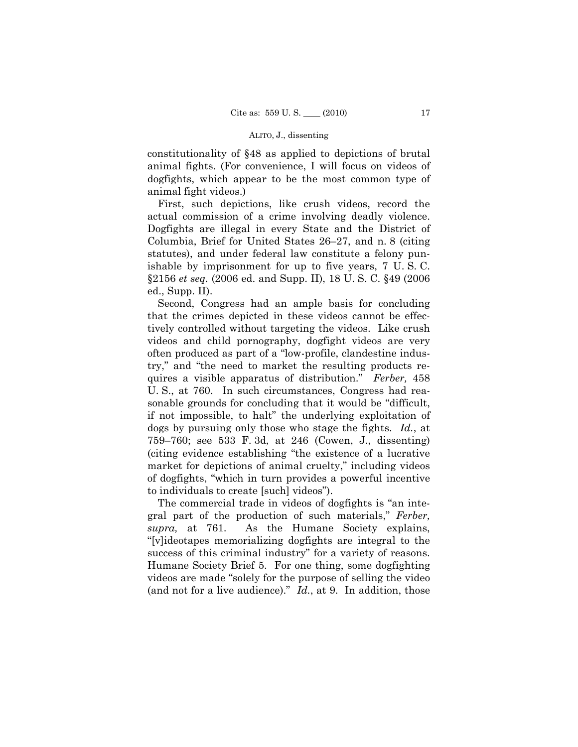constitutionality of §48 as applied to depictions of brutal animal fights. (For convenience, I will focus on videos of dogfights, which appear to be the most common type of animal fight videos.)

First, such depictions, like crush videos, record the actual commission of a crime involving deadly violence. Dogfights are illegal in every State and the District of Columbia, Brief for United States 26–27, and n. 8 (citing statutes), and under federal law constitute a felony punishable by imprisonment for up to five years, 7 U. S. C. §2156 *et seq.* (2006 ed. and Supp. II), 18 U. S. C. §49 (2006 ed., Supp. II).

Second, Congress had an ample basis for concluding that the crimes depicted in these videos cannot be effectively controlled without targeting the videos. Like crush videos and child pornography, dogfight videos are very often produced as part of a "low-profile, clandestine industry," and "the need to market the resulting products requires a visible apparatus of distribution." *Ferber,* 458 U. S., at 760. In such circumstances, Congress had reasonable grounds for concluding that it would be "difficult, if not impossible, to halt" the underlying exploitation of dogs by pursuing only those who stage the fights. *Id.*, at 759–760; see 533 F. 3d, at 246 (Cowen, J., dissenting) (citing evidence establishing "the existence of a lucrative market for depictions of animal cruelty," including videos of dogfights, "which in turn provides a powerful incentive to individuals to create [such] videos").

The commercial trade in videos of dogfights is "an integral part of the production of such materials," *Ferber, supra,* at 761. As the Humane Society explains, "[v]ideotapes memorializing dogfights are integral to the success of this criminal industry" for a variety of reasons. Humane Society Brief 5. For one thing, some dogfighting videos are made "solely for the purpose of selling the video (and not for a live audience)." *Id.*, at 9. In addition, those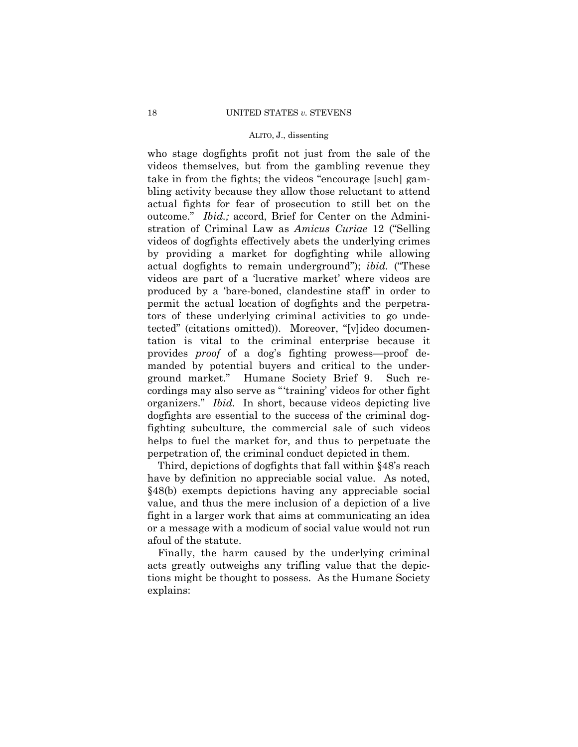who stage dogfights profit not just from the sale of the videos themselves, but from the gambling revenue they take in from the fights; the videos "encourage [such] gambling activity because they allow those reluctant to attend actual fights for fear of prosecution to still bet on the outcome." *Ibid.;* accord, Brief for Center on the Administration of Criminal Law as *Amicus Curiae* 12 ("Selling videos of dogfights effectively abets the underlying crimes by providing a market for dogfighting while allowing actual dogfights to remain underground"); *ibid.* ("These videos are part of a 'lucrative market' where videos are produced by a 'bare-boned, clandestine staff' in order to permit the actual location of dogfights and the perpetrators of these underlying criminal activities to go undetected" (citations omitted)). Moreover, "[v]ideo documentation is vital to the criminal enterprise because it provides *proof* of a dog's fighting prowess—proof demanded by potential buyers and critical to the underground market." Humane Society Brief 9. Such recordings may also serve as "'training' videos for other fight organizers." *Ibid.* In short, because videos depicting live dogfights are essential to the success of the criminal dogfighting subculture, the commercial sale of such videos helps to fuel the market for, and thus to perpetuate the perpetration of, the criminal conduct depicted in them.

Third, depictions of dogfights that fall within §48's reach have by definition no appreciable social value. As noted, §48(b) exempts depictions having any appreciable social value, and thus the mere inclusion of a depiction of a live fight in a larger work that aims at communicating an idea or a message with a modicum of social value would not run afoul of the statute.

Finally, the harm caused by the underlying criminal acts greatly outweighs any trifling value that the depictions might be thought to possess. As the Humane Society explains: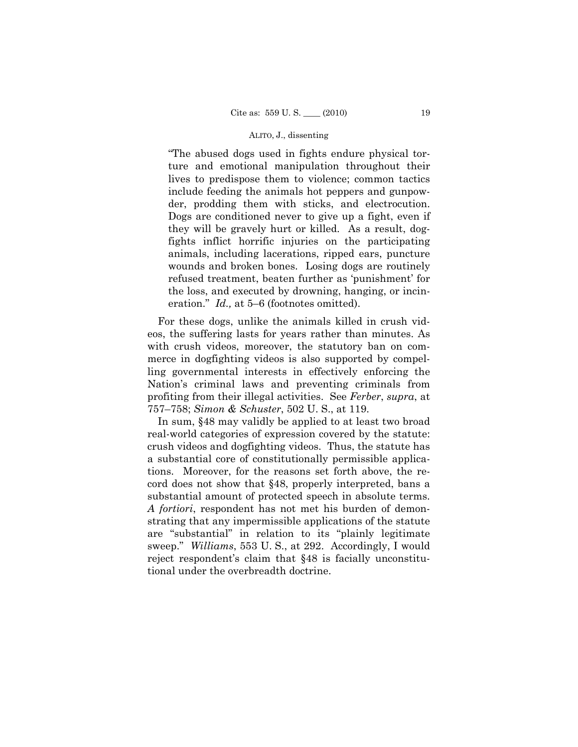"The abused dogs used in fights endure physical torture and emotional manipulation throughout their lives to predispose them to violence; common tactics include feeding the animals hot peppers and gunpowder, prodding them with sticks, and electrocution. Dogs are conditioned never to give up a fight, even if they will be gravely hurt or killed. As a result, dogfights inflict horrific injuries on the participating animals, including lacerations, ripped ears, puncture wounds and broken bones. Losing dogs are routinely refused treatment, beaten further as 'punishment' for the loss, and executed by drowning, hanging, or incineration." *Id.,* at 5–6 (footnotes omitted).

For these dogs, unlike the animals killed in crush videos, the suffering lasts for years rather than minutes. As with crush videos, moreover, the statutory ban on commerce in dogfighting videos is also supported by compelling governmental interests in effectively enforcing the Nation's criminal laws and preventing criminals from profiting from their illegal activities. See *Ferber*, *supra*, at 757–758; *Simon & Schuster*, 502 U. S., at 119.

In sum, §48 may validly be applied to at least two broad real-world categories of expression covered by the statute: crush videos and dogfighting videos. Thus, the statute has a substantial core of constitutionally permissible applications. Moreover, for the reasons set forth above, the record does not show that §48, properly interpreted, bans a substantial amount of protected speech in absolute terms. *A fortiori*, respondent has not met his burden of demonstrating that any impermissible applications of the statute are "substantial" in relation to its "plainly legitimate sweep." *Williams*, 553 U. S., at 292. Accordingly, I would reject respondent's claim that §48 is facially unconstitutional under the overbreadth doctrine.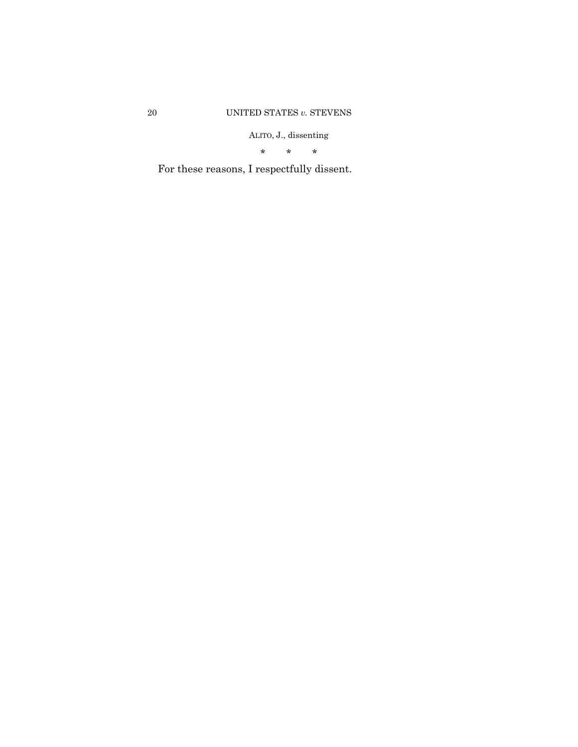\* \* \*

For these reasons, I respectfully dissent.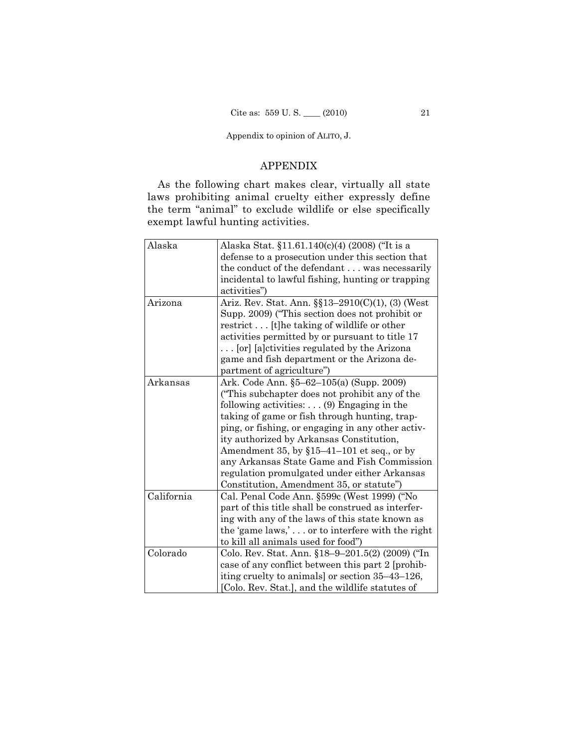## APPENDIX

As the following chart makes clear, virtually all state laws prohibiting animal cruelty either expressly define the term "animal" to exclude wildlife or else specifically exempt lawful hunting activities.

| Alaska     | Alaska Stat. §11.61.140(c)(4) (2008) ("It is a     |
|------------|----------------------------------------------------|
|            | defense to a prosecution under this section that   |
|            | the conduct of the defendant was necessarily       |
|            | incidental to lawful fishing, hunting or trapping  |
|            | activities")                                       |
| Arizona    | Ariz. Rev. Stat. Ann. §§13-2910(C)(1), (3) (West   |
|            | Supp. 2009) ("This section does not prohibit or    |
|            | restrict [t] he taking of wildlife or other        |
|            | activities permitted by or pursuant to title 17    |
|            | [or] [a]ctivities regulated by the Arizona         |
|            | game and fish department or the Arizona de-        |
|            | partment of agriculture")                          |
| Arkansas   | Ark. Code Ann. §5–62–105(a) (Supp. 2009)           |
|            | ("This subchapter does not prohibit any of the     |
|            | following activities: $\ldots$ (9) Engaging in the |
|            | taking of game or fish through hunting, trap-      |
|            | ping, or fishing, or engaging in any other activ-  |
|            | ity authorized by Arkansas Constitution,           |
|            | Amendment 35, by $$15-41-101$ et seq., or by       |
|            | any Arkansas State Game and Fish Commission        |
|            | regulation promulgated under either Arkansas       |
|            | Constitution, Amendment 35, or statute")           |
| California | Cal. Penal Code Ann. §599c (West 1999) ("No        |
|            | part of this title shall be construed as interfer- |
|            | ing with any of the laws of this state known as    |
|            | the 'game laws,' or to interfere with the right    |
|            | to kill all animals used for food")                |
| Colorado   | Colo. Rev. Stat. Ann. §18–9–201.5(2) (2009) ("In   |
|            | case of any conflict between this part 2 [prohib-  |
|            | iting cruelty to animals] or section 35-43-126,    |
|            | [Colo. Rev. Stat.], and the wildlife statutes of   |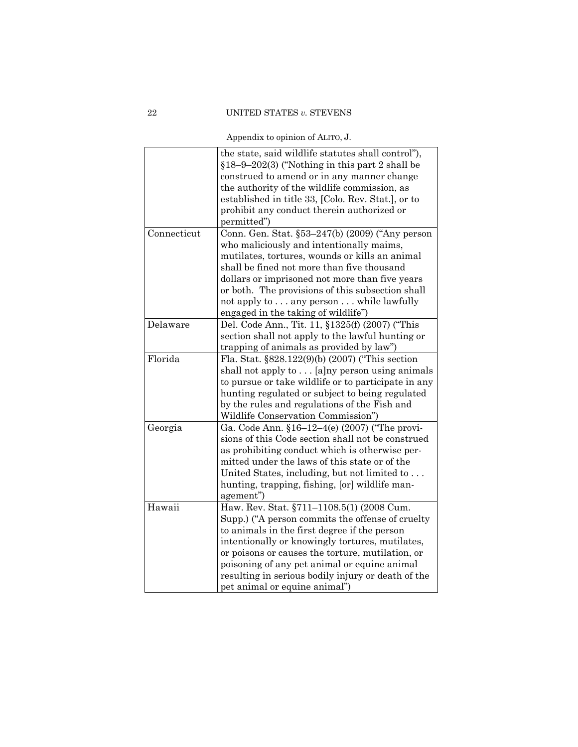|             | the state, said wildlife statutes shall control"),  |
|-------------|-----------------------------------------------------|
|             | $$18-9-202(3)$ ("Nothing in this part 2 shall be    |
|             | construed to amend or in any manner change          |
|             | the authority of the wildlife commission, as        |
|             | established in title 33, [Colo. Rev. Stat.], or to  |
|             | prohibit any conduct therein authorized or          |
|             | permitted")                                         |
| Connecticut | Conn. Gen. Stat. §53-247(b) (2009) ("Any person     |
|             | who maliciously and intentionally maims,            |
|             | mutilates, tortures, wounds or kills an animal      |
|             | shall be fined not more than five thousand          |
|             | dollars or imprisoned not more than five years      |
|             | or both. The provisions of this subsection shall    |
|             | not apply to any person while lawfully              |
|             | engaged in the taking of wildlife")                 |
| Delaware    | Del. Code Ann., Tit. 11, §1325(f) (2007) ("This     |
|             | section shall not apply to the lawful hunting or    |
|             | trapping of animals as provided by law")            |
| Florida     | Fla. Stat. §828.122(9)(b) (2007) ("This section     |
|             | shall not apply to [a]ny person using animals       |
|             | to pursue or take wildlife or to participate in any |
|             | hunting regulated or subject to being regulated     |
|             | by the rules and regulations of the Fish and        |
|             | Wildlife Conservation Commission")                  |
| Georgia     | Ga. Code Ann. §16-12-4(e) (2007) ("The provi-       |
|             | sions of this Code section shall not be construed   |
|             | as prohibiting conduct which is otherwise per-      |
|             | mitted under the laws of this state or of the       |
|             | United States, including, but not limited to        |
|             | hunting, trapping, fishing, [or] wildlife man-      |
|             | agement")                                           |
| Hawaii      | Haw. Rev. Stat. §711-1108.5(1) (2008 Cum.           |
|             | Supp.) ("A person commits the offense of cruelty    |
|             | to animals in the first degree if the person        |
|             | intentionally or knowingly tortures, mutilates,     |
|             | or poisons or causes the torture, mutilation, or    |
|             | poisoning of any pet animal or equine animal        |
|             | resulting in serious bodily injury or death of the  |
|             | pet animal or equine animal")                       |
|             |                                                     |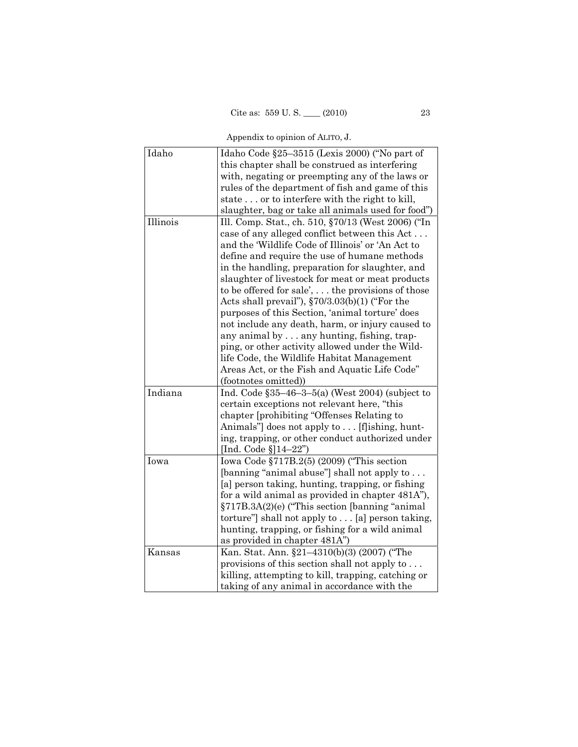| Idaho    | Idaho Code §25-3515 (Lexis 2000) ("No part of            |
|----------|----------------------------------------------------------|
|          | this chapter shall be construed as interfering           |
|          | with, negating or preempting any of the laws or          |
|          | rules of the department of fish and game of this         |
|          | state or to interfere with the right to kill,            |
|          | slaughter, bag or take all animals used for food")       |
| Illinois | Ill. Comp. Stat., ch. 510, §70/13 (West 2006) ("In       |
|          | case of any alleged conflict between this Act            |
|          | and the 'Wildlife Code of Illinois' or 'An Act to        |
|          | define and require the use of humane methods             |
|          | in the handling, preparation for slaughter, and          |
|          | slaughter of livestock for meat or meat products         |
|          | to be offered for sale', $\dots$ the provisions of those |
|          | Acts shall prevail"), $\S70/3.03(b)(1)$ ("For the        |
|          | purposes of this Section, 'animal torture' does          |
|          | not include any death, harm, or injury caused to         |
|          | any animal by $\ldots$ any hunting, fishing, trap-       |
|          | ping, or other activity allowed under the Wild-          |
|          | life Code, the Wildlife Habitat Management               |
|          | Areas Act, or the Fish and Aquatic Life Code"            |
|          | (footnotes omitted))                                     |
| Indiana  | Ind. Code $$35-46-3-5(a)$ (West 2004) (subject to        |
|          | certain exceptions not relevant here, "this              |
|          | chapter [prohibiting "Offenses Relating to               |
|          | Animals" does not apply to  [f]ishing, hunt-             |
|          | ing, trapping, or other conduct authorized under         |
|          | [Ind. Code $\S$ ]14-22")                                 |
| Iowa     | Iowa Code $\S717B.2(5)$ (2009) ("This section            |
|          | [banning "animal abuse"] shall not apply to              |
|          | [a] person taking, hunting, trapping, or fishing         |
|          | for a wild animal as provided in chapter 481A"),         |
|          | §717B.3A(2)(e) ("This section [banning "animal           |
|          | torture" shall not apply to $\ldots$ [a] person taking,  |
|          | hunting, trapping, or fishing for a wild animal          |
|          | as provided in chapter 481A")                            |
| Kansas   | Kan. Stat. Ann. §21-4310(b)(3) (2007) ("The              |
|          | provisions of this section shall not apply to            |
|          | killing, attempting to kill, trapping, catching or       |
|          | taking of any animal in accordance with the              |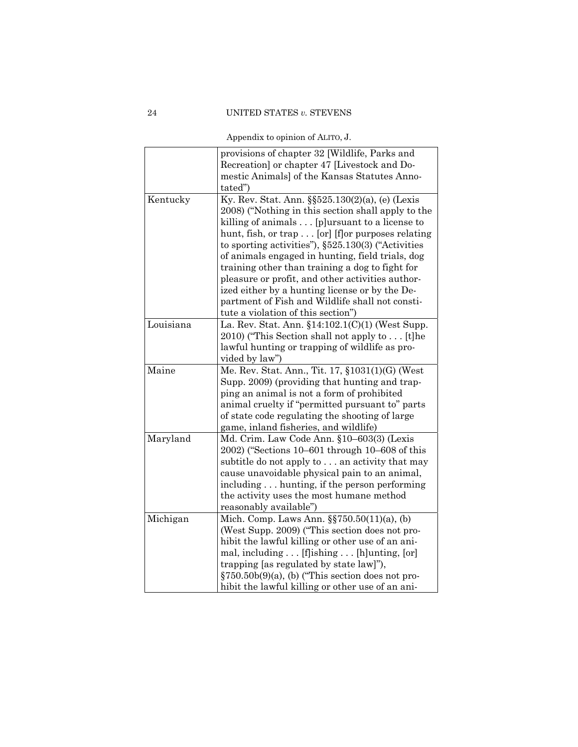| Appendix to opinion of ALITO, J. |  |  |
|----------------------------------|--|--|
|                                  |  |  |

|           | provisions of chapter 32 [Wildlife, Parks and              |
|-----------|------------------------------------------------------------|
|           | Recreation] or chapter 47 [Livestock and Do-               |
|           | mestic Animals] of the Kansas Statutes Anno-               |
|           | tated")                                                    |
| Kentucky  | Ky. Rev. Stat. Ann. §§525.130(2)(a), (e) (Lexis            |
|           | 2008) ("Nothing in this section shall apply to the         |
|           | killing of animals [p]ursuant to a license to              |
|           | hunt, fish, or trap [or] [f]or purposes relating           |
|           | to sporting activities"), $\S525.130(3)$ ("Activities")    |
|           | of animals engaged in hunting, field trials, dog           |
|           |                                                            |
|           | training other than training a dog to fight for            |
|           | pleasure or profit, and other activities author-           |
|           | ized either by a hunting license or by the De-             |
|           | partment of Fish and Wildlife shall not consti-            |
|           | tute a violation of this section")                         |
| Louisiana | La. Rev. Stat. Ann. §14:102.1(C)(1) (West Supp.            |
|           | 2010) ("This Section shall not apply to [t] he             |
|           | lawful hunting or trapping of wildlife as pro-             |
|           | vided by law")                                             |
| Maine     | Me. Rev. Stat. Ann., Tit. 17, §1031(1)(G) (West            |
|           | Supp. 2009) (providing that hunting and trap-              |
|           | ping an animal is not a form of prohibited                 |
|           | animal cruelty if "permitted pursuant to" parts            |
|           | of state code regulating the shooting of large             |
|           | game, inland fisheries, and wildlife)                      |
| Maryland  | Md. Crim. Law Code Ann. §10-603(3) (Lexis                  |
|           | 2002) ("Sections 10–601 through 10–608 of this             |
|           | subtitle do not apply to an activity that may              |
|           | cause unavoidable physical pain to an animal,              |
|           | including hunting, if the person performing                |
|           | the activity uses the most humane method                   |
|           | reasonably available")                                     |
| Michigan  | Mich. Comp. Laws Ann. §§750.50(11)(a), (b)                 |
|           | (West Supp. 2009) ("This section does not pro-             |
|           | hibit the lawful killing or other use of an ani-           |
|           | mal, including $\dots$ [f] ishing $\dots$ [h] unting, [or] |
|           | trapping [as regulated by state law]"),                    |
|           | $\S 750.50b(9)(a)$ , (b) ("This section does not pro-      |
|           |                                                            |
|           | hibit the lawful killing or other use of an ani-           |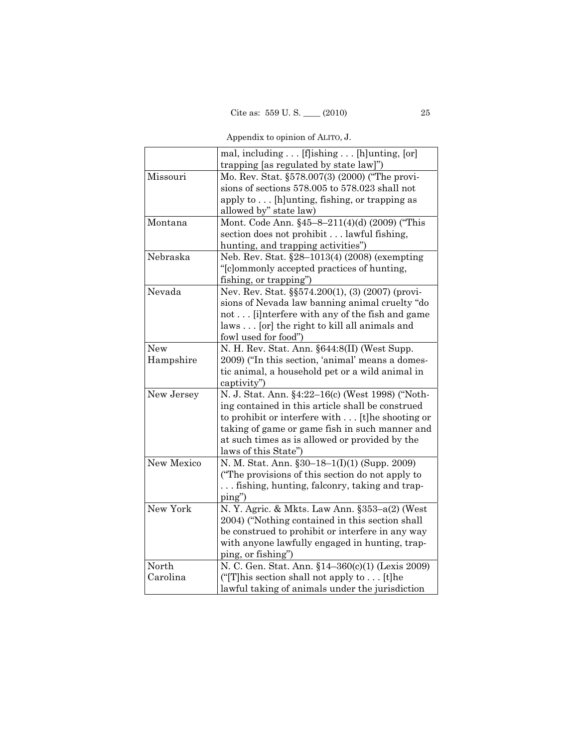| Appendix to opinion of ALITO, J. |  |  |  |
|----------------------------------|--|--|--|
|                                  |  |  |  |

|                   | mal, including [f]ishing [h]unting, [or]            |
|-------------------|-----------------------------------------------------|
|                   | trapping [as regulated by state law]")              |
| Missouri          | Mo. Rev. Stat. §578.007(3) (2000) ("The provi-      |
|                   | sions of sections 578.005 to 578.023 shall not      |
|                   | apply to [h]unting, fishing, or trapping as         |
|                   | allowed by" state law)                              |
| Montana           | Mont. Code Ann. §45-8-211(4)(d) (2009) ("This       |
|                   | section does not prohibit lawful fishing,           |
|                   | hunting, and trapping activities")                  |
| Nebraska          | Neb. Rev. Stat. §28-1013(4) (2008) (exempting       |
|                   | "[c]ommonly accepted practices of hunting,          |
|                   | fishing, or trapping")                              |
| Nevada            | Nev. Rev. Stat. §§574.200(1), (3) (2007) (provi-    |
|                   | sions of Nevada law banning animal cruelty "do      |
|                   | not [i] nterfere with any of the fish and game      |
|                   | laws [or] the right to kill all animals and         |
|                   | fowl used for food")                                |
| New               | N. H. Rev. Stat. Ann. §644:8(II) (West Supp.        |
| Hampshire         | 2009) ("In this section, 'animal' means a domes-    |
|                   | tic animal, a household pet or a wild animal in     |
|                   | captivity")                                         |
| New Jersey        | N. J. Stat. Ann. §4:22-16(c) (West 1998) ("Noth-    |
|                   | ing contained in this article shall be construed    |
|                   | to prohibit or interfere with [t]he shooting or     |
|                   | taking of game or game fish in such manner and      |
|                   | at such times as is allowed or provided by the      |
|                   | laws of this State")                                |
| <b>New Mexico</b> | N. M. Stat. Ann. §30–18–1(I)(1) (Supp. 2009)        |
|                   | ("The provisions of this section do not apply to    |
|                   | fishing, hunting, falconry, taking and trap-        |
|                   | $\pi$                                               |
| New York          | N.Y. Agric. & Mkts. Law Ann. §353-a(2) (West        |
|                   | 2004) ("Nothing contained in this section shall     |
|                   | be construed to prohibit or interfere in any way    |
|                   | with anyone lawfully engaged in hunting, trap-      |
|                   | ping, or fishing")                                  |
| North             | N. C. Gen. Stat. Ann. §14-360(c)(1) (Lexis 2009)    |
| Carolina          | ("[T] his section shall not apply to $\dots$ [t] he |
|                   | lawful taking of animals under the jurisdiction     |
|                   |                                                     |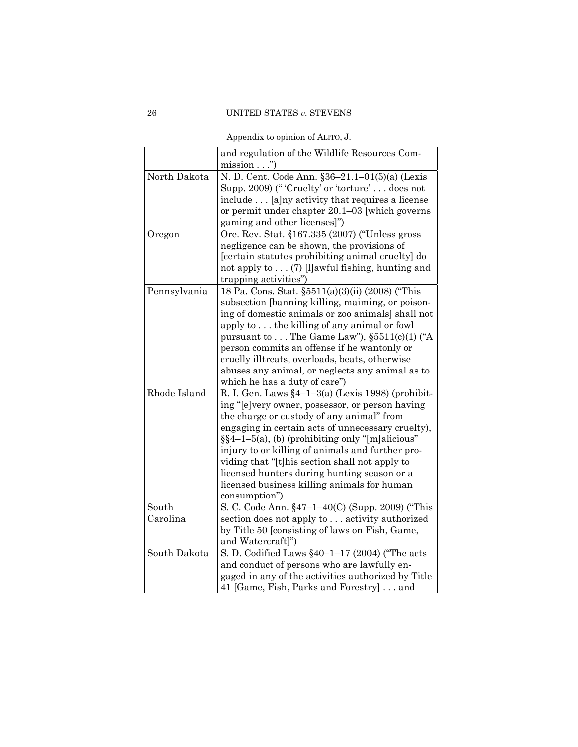|              | and regulation of the Wildlife Resources Com-           |
|--------------|---------------------------------------------------------|
|              | $\frac{\text{mission}}{\text{mission}}$ "               |
| North Dakota | N. D. Cent. Code Ann. §36-21.1-01(5)(a) (Lexis          |
|              | Supp. 2009) ("'Cruelty' or 'torture'does not            |
|              | include [a] ny activity that requires a license         |
|              | or permit under chapter 20.1–03 [which governs          |
|              | gaming and other licenses]")                            |
| Oregon       | Ore. Rev. Stat. §167.335 (2007) ("Unless gross          |
|              | negligence can be shown, the provisions of              |
|              | [certain statutes prohibiting animal cruelty] do        |
|              | not apply to $\dots$ (7) [l] awful fishing, hunting and |
|              | trapping activities")                                   |
| Pennsylvania | 18 Pa. Cons. Stat. §5511(a)(3)(ii) (2008) ("This        |
|              | subsection [banning killing, maiming, or poison-        |
|              | ing of domestic animals or zoo animals] shall not       |
|              | apply to the killing of any animal or fowl              |
|              | pursuant to $\dots$ The Game Law"), $\S5511(c)(1)$ ("A  |
|              | person commits an offense if he wantonly or             |
|              | cruelly illtreats, overloads, beats, otherwise          |
|              | abuses any animal, or neglects any animal as to         |
|              | which he has a duty of care")                           |
| Rhode Island | R. I. Gen. Laws $\S4-1-3(a)$ (Lexis 1998) (prohibit-    |
|              | ing "[e]very owner, possessor, or person having         |
|              | the charge or custody of any animal" from               |
|              | engaging in certain acts of unnecessary cruelty),       |
|              | $\S$ §4-1-5(a), (b) (prohibiting only "[m]alicious"     |
|              | injury to or killing of animals and further pro-        |
|              | viding that "[t]his section shall not apply to          |
|              | licensed hunters during hunting season or a             |
|              | licensed business killing animals for human             |
|              | consumption")                                           |
| South        | S. C. Code Ann. §47-1-40(C) (Supp. 2009) ("This         |
| Carolina     | section does not apply to  activity authorized          |
|              | by Title 50 [consisting of laws on Fish, Game,          |
|              | and Watercraft]")                                       |
| South Dakota | S. D. Codified Laws $\S 40-1-17$ (2004) ("The acts      |
|              | and conduct of persons who are lawfully en-             |
|              | gaged in any of the activities authorized by Title      |
|              | 41 [Game, Fish, Parks and Forestry]and                  |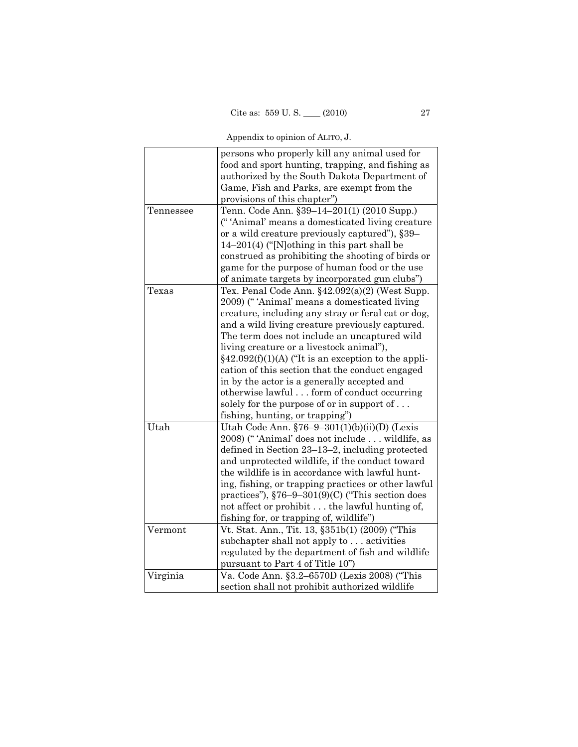|           | persons who properly kill any animal used for<br>food and sport hunting, trapping, and fishing as<br>authorized by the South Dakota Department of<br>Game, Fish and Parks, are exempt from the<br>provisions of this chapter") |
|-----------|--------------------------------------------------------------------------------------------------------------------------------------------------------------------------------------------------------------------------------|
|           |                                                                                                                                                                                                                                |
| Tennessee | Tenn. Code Ann. §39-14-201(1) (2010 Supp.)                                                                                                                                                                                     |
|           | ("'Animal' means a domesticated living creature                                                                                                                                                                                |
|           | or a wild creature previously captured"), §39–                                                                                                                                                                                 |
|           | 14-201(4) ("[N]othing in this part shall be                                                                                                                                                                                    |
|           | construed as prohibiting the shooting of birds or                                                                                                                                                                              |
|           | game for the purpose of human food or the use                                                                                                                                                                                  |
|           | of animate targets by incorporated gun clubs")                                                                                                                                                                                 |
| Texas     | Tex. Penal Code Ann. §42.092(a)(2) (West Supp.                                                                                                                                                                                 |
|           | 2009) ("'Animal' means a domesticated living                                                                                                                                                                                   |
|           | creature, including any stray or feral cat or dog,                                                                                                                                                                             |
|           | and a wild living creature previously captured.                                                                                                                                                                                |
|           | The term does not include an uncaptured wild                                                                                                                                                                                   |
|           | living creature or a livestock animal"),                                                                                                                                                                                       |
|           | $§42.092(f)(1)(A)$ ("It is an exception to the appli-                                                                                                                                                                          |
|           | cation of this section that the conduct engaged                                                                                                                                                                                |
|           | in by the actor is a generally accepted and                                                                                                                                                                                    |
|           | otherwise lawful form of conduct occurring                                                                                                                                                                                     |
|           | solely for the purpose of or in support of                                                                                                                                                                                     |
|           | fishing, hunting, or trapping")                                                                                                                                                                                                |
| Utah      | Utah Code Ann. $$76-9-301(1)(b)(ii)(D)$ (Lexis                                                                                                                                                                                 |
|           | 2008) ("'Animal' does not include  wildlife, as                                                                                                                                                                                |
|           | defined in Section 23–13–2, including protected                                                                                                                                                                                |
|           | and unprotected wildlife, if the conduct toward                                                                                                                                                                                |
|           | the wildlife is in accordance with lawful hunt-                                                                                                                                                                                |
|           | ing, fishing, or trapping practices or other lawful                                                                                                                                                                            |
|           | practices"), $$76-9-301(9)(C)$ ("This section does                                                                                                                                                                             |
|           | not affect or prohibit the lawful hunting of,                                                                                                                                                                                  |
|           | fishing for, or trapping of, wildlife")                                                                                                                                                                                        |
| Vermont   | Vt. Stat. Ann., Tit. 13, §351b(1) (2009) ("This                                                                                                                                                                                |
|           | subchapter shall not apply to activities                                                                                                                                                                                       |
|           |                                                                                                                                                                                                                                |
|           | regulated by the department of fish and wildlife                                                                                                                                                                               |
|           | pursuant to Part 4 of Title 10")                                                                                                                                                                                               |
| Virginia  | Va. Code Ann. §3.2-6570D (Lexis 2008) ("This                                                                                                                                                                                   |
|           | section shall not prohibit authorized wildlife                                                                                                                                                                                 |